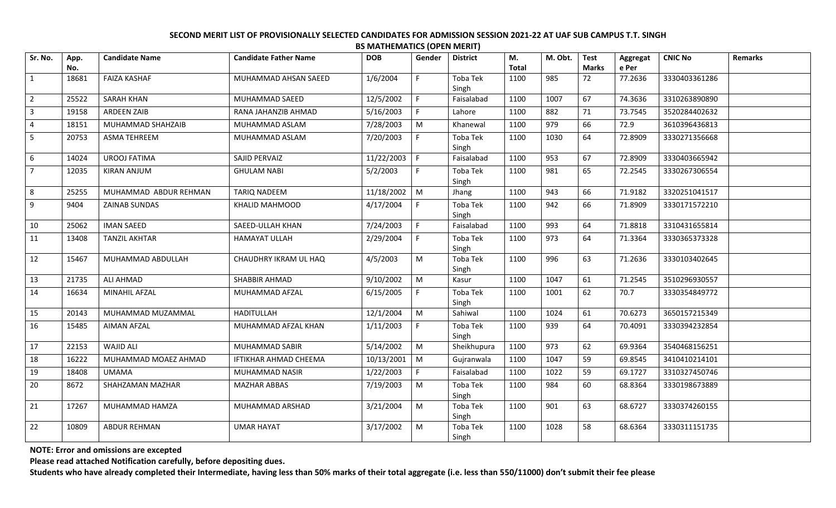| Sr. No.                 | App.  | <b>Candidate Name</b> | <b>Candidate Father Name</b> | <b>DOB</b> | Gender                                                                                                     | <b>District</b>   | М.    | M. Obt. | <b>Test</b>  | Aggregat | <b>CNIC No</b> | Remarks |
|-------------------------|-------|-----------------------|------------------------------|------------|------------------------------------------------------------------------------------------------------------|-------------------|-------|---------|--------------|----------|----------------|---------|
|                         | No.   |                       |                              |            |                                                                                                            |                   | Total |         | <b>Marks</b> | e Per    |                |         |
| $\mathbf{1}$            | 18681 | <b>FAIZA KASHAF</b>   | MUHAMMAD AHSAN SAEED         | 1/6/2004   | F.                                                                                                         | Toba Tek<br>Singh | 1100  | 985     | 72           | 77.2636  | 3330403361286  |         |
| $\overline{2}$          | 25522 | <b>SARAH KHAN</b>     | MUHAMMAD SAEED               | 12/5/2002  | F                                                                                                          | Faisalabad        | 1100  | 1007    | 67           | 74.3636  | 3310263890890  |         |
| $\overline{\mathbf{3}}$ | 19158 | <b>ARDEEN ZAIB</b>    | RANA JAHANZIB AHMAD          | 5/16/2003  | $\mathsf{F}$                                                                                               | Lahore            | 1100  | 882     | 71           | 73.7545  | 3520284402632  |         |
| $\overline{a}$          | 18151 | MUHAMMAD SHAHZAIB     | MUHAMMAD ASLAM               | 7/28/2003  | $\mathsf{M}% _{T}=\mathsf{M}_{T}\!\left( a,b\right) ,\ \mathsf{M}_{T}=\mathsf{M}_{T}\!\left( a,b\right) ,$ | Khanewal          | 1100  | 979     | 66           | 72.9     | 3610396436813  |         |
| 5                       | 20753 | ASMA TEHREEM          | MUHAMMAD ASLAM               | 7/20/2003  | $\mathsf{F}$                                                                                               | Toba Tek<br>Singh | 1100  | 1030    | 64           | 72.8909  | 3330271356668  |         |
| 6                       | 14024 | <b>UROOJ FATIMA</b>   | SAJID PERVAIZ                | 11/22/2003 | l F                                                                                                        | Faisalabad        | 1100  | 953     | 67           | 72.8909  | 3330403665942  |         |
| $\overline{7}$          | 12035 | <b>KIRAN ANJUM</b>    | <b>GHULAM NABI</b>           | 5/2/2003   | F.                                                                                                         | Toba Tek<br>Singh | 1100  | 981     | 65           | 72.2545  | 3330267306554  |         |
| 8                       | 25255 | MUHAMMAD ABDUR REHMAN | TARIQ NADEEM                 | 11/18/2002 | $\mid M$                                                                                                   | Jhang             | 1100  | 943     | 66           | 71.9182  | 3320251041517  |         |
| 9                       | 9404  | ZAINAB SUNDAS         | KHALID MAHMOOD               | 4/17/2004  | $\mathsf{F}$                                                                                               | Toba Tek<br>Singh | 1100  | 942     | 66           | 71.8909  | 3330171572210  |         |
| 10                      | 25062 | <b>IMAN SAEED</b>     | SAEED-ULLAH KHAN             | 7/24/2003  | $\mathsf{F}$                                                                                               | Faisalabad        | 1100  | 993     | 64           | 71.8818  | 3310431655814  |         |
| 11                      | 13408 | <b>TANZIL AKHTAR</b>  | <b>HAMAYAT ULLAH</b>         | 2/29/2004  | $\mathsf{F}$                                                                                               | Toba Tek<br>Singh | 1100  | 973     | 64           | 71.3364  | 3330365373328  |         |
| 12                      | 15467 | MUHAMMAD ABDULLAH     | CHAUDHRY IKRAM UL HAQ        | 4/5/2003   | M                                                                                                          | Toba Tek<br>Singh | 1100  | 996     | 63           | 71.2636  | 3330103402645  |         |
| 13                      | 21735 | <b>ALI AHMAD</b>      | SHABBIR AHMAD                | 9/10/2002  | M                                                                                                          | Kasur             | 1100  | 1047    | 61           | 71.2545  | 3510296930557  |         |
| 14                      | 16634 | MINAHIL AFZAL         | MUHAMMAD AFZAL               | 6/15/2005  | F.                                                                                                         | Toba Tek<br>Singh | 1100  | 1001    | 62           | 70.7     | 3330354849772  |         |
| 15                      | 20143 | MUHAMMAD MUZAMMAL     | HADITULLAH                   | 12/1/2004  | M                                                                                                          | Sahiwal           | 1100  | 1024    | 61           | 70.6273  | 3650157215349  |         |
| 16                      | 15485 | AIMAN AFZAL           | MUHAMMAD AFZAL KHAN          | 1/11/2003  | $\mathsf{F}$                                                                                               | Toba Tek<br>Singh | 1100  | 939     | 64           | 70.4091  | 3330394232854  |         |
| 17                      | 22153 | WAJID ALI             | MUHAMMAD SABIR               | 5/14/2002  | M                                                                                                          | Sheikhupura       | 1100  | 973     | 62           | 69.9364  | 3540468156251  |         |
| 18                      | 16222 | MUHAMMAD MOAEZ AHMAD  | IFTIKHAR AHMAD CHEEMA        | 10/13/2001 | $\blacksquare$                                                                                             | Gujranwala        | 1100  | 1047    | 59           | 69.8545  | 3410410214101  |         |
| 19                      | 18408 | <b>UMAMA</b>          | MUHAMMAD NASIR               | 1/22/2003  | $\mathsf{F}$                                                                                               | Faisalabad        | 1100  | 1022    | 59           | 69.1727  | 3310327450746  |         |
| 20                      | 8672  | SHAHZAMAN MAZHAR      | <b>MAZHAR ABBAS</b>          | 7/19/2003  | M                                                                                                          | Toba Tek<br>Singh | 1100  | 984     | 60           | 68.8364  | 3330198673889  |         |
| 21                      | 17267 | MUHAMMAD HAMZA        | MUHAMMAD ARSHAD              | 3/21/2004  | M                                                                                                          | Toba Tek<br>Singh | 1100  | 901     | 63           | 68.6727  | 3330374260155  |         |
| 22                      | 10809 | <b>ABDUR REHMAN</b>   | <b>UMAR HAYAT</b>            | 3/17/2002  | M                                                                                                          | Toba Tek<br>Singh | 1100  | 1028    | 58           | 68.6364  | 3330311151735  |         |

**NOTE: Error and omissions are excepted**

**Please read attached Notification carefully, before depositing dues.**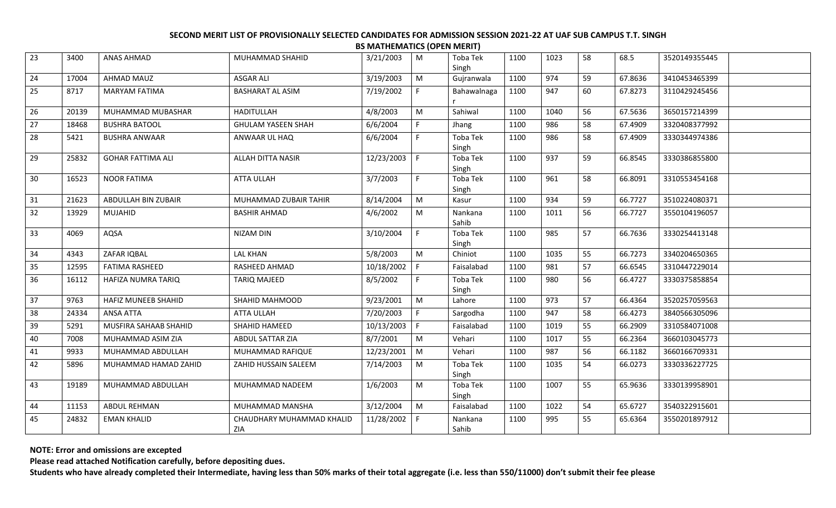| 23 | 3400  | ANAS AHMAD               | MUHAMMAD SHAHID                  | 3/21/2003    | M            | Toba Tek<br>Singh | 1100 | 1023 | 58 | 68.5    | 3520149355445 |  |
|----|-------|--------------------------|----------------------------------|--------------|--------------|-------------------|------|------|----|---------|---------------|--|
| 24 | 17004 | <b>AHMAD MAUZ</b>        | <b>ASGAR ALI</b>                 | 3/19/2003    | M            | Gujranwala        | 1100 | 974  | 59 | 67.8636 | 3410453465399 |  |
| 25 | 8717  | <b>MARYAM FATIMA</b>     | <b>BASHARAT AL ASIM</b>          | 7/19/2002    | F            | Bahawalnaga       | 1100 | 947  | 60 | 67.8273 | 3110429245456 |  |
| 26 | 20139 | MUHAMMAD MUBASHAR        | <b>HADITULLAH</b>                | 4/8/2003     | M            | Sahiwal           | 1100 | 1040 | 56 | 67.5636 | 3650157214399 |  |
| 27 | 18468 | <b>BUSHRA BATOOL</b>     | <b>GHULAM YASEEN SHAH</b>        | 6/6/2004     | F            | Jhang             | 1100 | 986  | 58 | 67.4909 | 3320408377992 |  |
| 28 | 5421  | <b>BUSHRA ANWAAR</b>     | ANWAAR UL HAQ                    | 6/6/2004     | F            | Toba Tek<br>Singh | 1100 | 986  | 58 | 67.4909 | 3330344974386 |  |
| 29 | 25832 | <b>GOHAR FATTIMA ALI</b> | ALLAH DITTA NASIR                | 12/23/2003   | l F          | Toba Tek<br>Singh | 1100 | 937  | 59 | 66.8545 | 3330386855800 |  |
| 30 | 16523 | <b>NOOR FATIMA</b>       | <b>ATTA ULLAH</b>                | 3/7/2003     | F            | Toba Tek<br>Singh | 1100 | 961  | 58 | 66.8091 | 3310553454168 |  |
| 31 | 21623 | ABDULLAH BIN ZUBAIR      | MUHAMMAD ZUBAIR TAHIR            | 8/14/2004    | M            | Kasur             | 1100 | 934  | 59 | 66.7727 | 3510224080371 |  |
| 32 | 13929 | MUJAHID                  | <b>BASHIR AHMAD</b>              | 4/6/2002     | M            | Nankana<br>Sahib  | 1100 | 1011 | 56 | 66.7727 | 3550104196057 |  |
| 33 | 4069  | AQSA                     | NIZAM DIN                        | 3/10/2004    | $\mathsf{F}$ | Toba Tek<br>Singh | 1100 | 985  | 57 | 66.7636 | 3330254413148 |  |
| 34 | 4343  | ZAFAR IQBAL              | <b>LAL KHAN</b>                  | 5/8/2003     | M            | Chiniot           | 1100 | 1035 | 55 | 66.7273 | 3340204650365 |  |
| 35 | 12595 | <b>FATIMA RASHEED</b>    | RASHEED AHMAD                    | 10/18/2002   | F            | Faisalabad        | 1100 | 981  | 57 | 66.6545 | 3310447229014 |  |
| 36 | 16112 | HAFIZA NUMRA TARIQ       | TARIQ MAJEED                     | 8/5/2002     | F            | Toba Tek<br>Singh | 1100 | 980  | 56 | 66.4727 | 3330375858854 |  |
| 37 | 9763  | HAFIZ MUNEEB SHAHID      | SHAHID MAHMOOD                   | 9/23/2001    | M            | Lahore            | 1100 | 973  | 57 | 66.4364 | 3520257059563 |  |
| 38 | 24334 | <b>ANSA ATTA</b>         | ATTA ULLAH                       | 7/20/2003    | $\mathsf{F}$ | Sargodha          | 1100 | 947  | 58 | 66.4273 | 3840566305096 |  |
| 39 | 5291  | MUSFIRA SAHAAB SHAHID    | SHAHID HAMEED                    | 10/13/2003   | F            | Faisalabad        | 1100 | 1019 | 55 | 66.2909 | 3310584071008 |  |
| 40 | 7008  | MUHAMMAD ASIM ZIA        | ABDUL SATTAR ZIA                 | 8/7/2001     | M            | Vehari            | 1100 | 1017 | 55 | 66.2364 | 3660103045773 |  |
| 41 | 9933  | MUHAMMAD ABDULLAH        | MUHAMMAD RAFIQUE                 | 12/23/2001   | M            | Vehari            | 1100 | 987  | 56 | 66.1182 | 3660166709331 |  |
| 42 | 5896  | MUHAMMAD HAMAD ZAHID     | ZAHID HUSSAIN SALEEM             | 7/14/2003    | M            | Toba Tek<br>Singh | 1100 | 1035 | 54 | 66.0273 | 3330336227725 |  |
| 43 | 19189 | MUHAMMAD ABDULLAH        | MUHAMMAD NADEEM                  | 1/6/2003     | M            | Toba Tek<br>Singh | 1100 | 1007 | 55 | 65.9636 | 3330139958901 |  |
| 44 | 11153 | ABDUL REHMAN             | MUHAMMAD MANSHA                  | 3/12/2004    | M            | Faisalabad        | 1100 | 1022 | 54 | 65.6727 | 3540322915601 |  |
| 45 | 24832 | <b>EMAN KHALID</b>       | CHAUDHARY MUHAMMAD KHALID<br>ZIA | 11/28/2002 F |              | Nankana<br>Sahib  | 1100 | 995  | 55 | 65.6364 | 3550201897912 |  |

**NOTE: Error and omissions are excepted**

**Please read attached Notification carefully, before depositing dues.**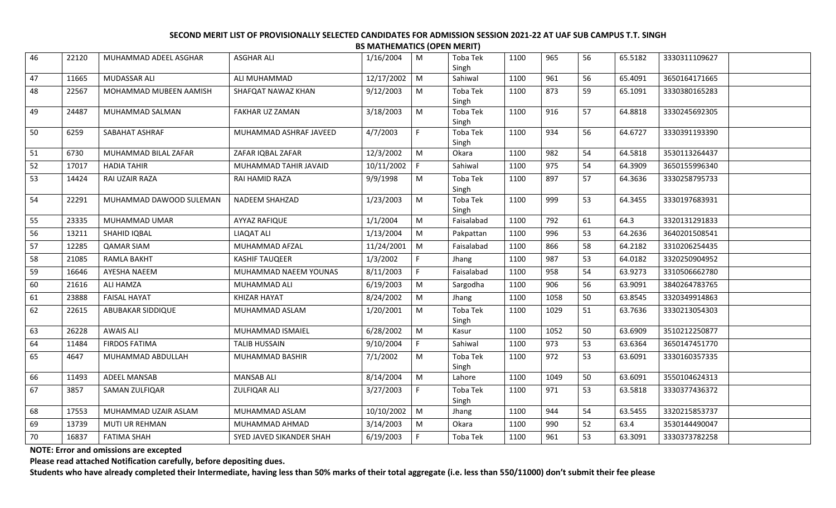| 46 | 22120 | MUHAMMAD ADEEL ASGHAR   | <b>ASGHAR ALI</b>        | 1/16/2004  | M              | Toba Tek<br>Singh | 1100 | 965  | 56 | 65.5182 | 3330311109627 |  |
|----|-------|-------------------------|--------------------------|------------|----------------|-------------------|------|------|----|---------|---------------|--|
| 47 | 11665 | MUDASSAR ALI            | ALI MUHAMMAD             | 12/17/2002 | $\mathsf{M}$   | Sahiwal           | 1100 | 961  | 56 | 65.4091 | 3650164171665 |  |
| 48 | 22567 | MOHAMMAD MUBEEN AAMISH  | SHAFQAT NAWAZ KHAN       | 9/12/2003  | M              | Toba Tek<br>Singh | 1100 | 873  | 59 | 65.1091 | 3330380165283 |  |
| 49 | 24487 | MUHAMMAD SALMAN         | FAKHAR UZ ZAMAN          | 3/18/2003  | M              | Toba Tek<br>Singh | 1100 | 916  | 57 | 64.8818 | 3330245692305 |  |
| 50 | 6259  | SABAHAT ASHRAF          | MUHAMMAD ASHRAF JAVEED   | 4/7/2003   | F.             | Toba Tek<br>Singh | 1100 | 934  | 56 | 64.6727 | 3330391193390 |  |
| 51 | 6730  | MUHAMMAD BILAL ZAFAR    | ZAFAR IQBAL ZAFAR        | 12/3/2002  | M              | Okara             | 1100 | 982  | 54 | 64.5818 | 3530113264437 |  |
| 52 | 17017 | <b>HADIA TAHIR</b>      | MUHAMMAD TAHIR JAVAID    | 10/11/2002 | $\mathsf F$    | Sahiwal           | 1100 | 975  | 54 | 64.3909 | 3650155996340 |  |
| 53 | 14424 | RAI UZAIR RAZA          | RAI HAMID RAZA           | 9/9/1998   | M              | Toba Tek<br>Singh | 1100 | 897  | 57 | 64.3636 | 3330258795733 |  |
| 54 | 22291 | MUHAMMAD DAWOOD SULEMAN | <b>NADEEM SHAHZAD</b>    | 1/23/2003  | M              | Toba Tek<br>Singh | 1100 | 999  | 53 | 64.3455 | 3330197683931 |  |
| 55 | 23335 | MUHAMMAD UMAR           | <b>AYYAZ RAFIQUE</b>     | 1/1/2004   | M              | Faisalabad        | 1100 | 792  | 61 | 64.3    | 3320131291833 |  |
| 56 | 13211 | SHAHID IQBAL            | <b>LIAQAT ALI</b>        | 1/13/2004  | M              | Pakpattan         | 1100 | 996  | 53 | 64.2636 | 3640201508541 |  |
| 57 | 12285 | <b>QAMAR SIAM</b>       | MUHAMMAD AFZAL           | 11/24/2001 | $\mid M$       | Faisalabad        | 1100 | 866  | 58 | 64.2182 | 3310206254435 |  |
| 58 | 21085 | <b>RAMLA BAKHT</b>      | <b>KASHIF TAUQEER</b>    | 1/3/2002   | F              | Jhang             | 1100 | 987  | 53 | 64.0182 | 3320250904952 |  |
| 59 | 16646 | AYESHA NAEEM            | MUHAMMAD NAEEM YOUNAS    | 8/11/2003  | F              | Faisalabad        | 1100 | 958  | 54 | 63.9273 | 3310506662780 |  |
| 60 | 21616 | ALI HAMZA               | MUHAMMAD ALI             | 6/19/2003  | M              | Sargodha          | 1100 | 906  | 56 | 63.9091 | 3840264783765 |  |
| 61 | 23888 | <b>FAISAL HAYAT</b>     | KHIZAR HAYAT             | 8/24/2002  | M              | Jhang             | 1100 | 1058 | 50 | 63.8545 | 3320349914863 |  |
| 62 | 22615 | ABUBAKAR SIDDIQUE       | MUHAMMAD ASLAM           | 1/20/2001  | M              | Toba Tek<br>Singh | 1100 | 1029 | 51 | 63.7636 | 3330213054303 |  |
| 63 | 26228 | <b>AWAIS ALI</b>        | MUHAMMAD ISMAIEL         | 6/28/2002  | M              | Kasur             | 1100 | 1052 | 50 | 63.6909 | 3510212250877 |  |
| 64 | 11484 | <b>FIRDOS FATIMA</b>    | <b>TALIB HUSSAIN</b>     | 9/10/2004  | F              | Sahiwal           | 1100 | 973  | 53 | 63.6364 | 3650147451770 |  |
| 65 | 4647  | MUHAMMAD ABDULLAH       | MUHAMMAD BASHIR          | 7/1/2002   | M              | Toba Tek<br>Singh | 1100 | 972  | 53 | 63.6091 | 3330160357335 |  |
| 66 | 11493 | <b>ADEEL MANSAB</b>     | <b>MANSAB ALI</b>        | 8/14/2004  | M              | Lahore            | 1100 | 1049 | 50 | 63.6091 | 3550104624313 |  |
| 67 | 3857  | SAMAN ZULFIQAR          | <b>ZULFIQAR ALI</b>      | 3/27/2003  | F              | Toba Tek<br>Singh | 1100 | 971  | 53 | 63.5818 | 3330377436372 |  |
| 68 | 17553 | MUHAMMAD UZAIR ASLAM    | MUHAMMAD ASLAM           | 10/10/2002 | $\blacksquare$ | Jhang             | 1100 | 944  | 54 | 63.5455 | 3320215853737 |  |
| 69 | 13739 | MUTI UR REHMAN          | MUHAMMAD AHMAD           | 3/14/2003  | M              | Okara             | 1100 | 990  | 52 | 63.4    | 3530144490047 |  |
| 70 | 16837 | <b>FATIMA SHAH</b>      | SYED JAVED SIKANDER SHAH | 6/19/2003  | F              | Toba Tek          | 1100 | 961  | 53 | 63.3091 | 3330373782258 |  |

**NOTE: Error and omissions are excepted**

**Please read attached Notification carefully, before depositing dues.**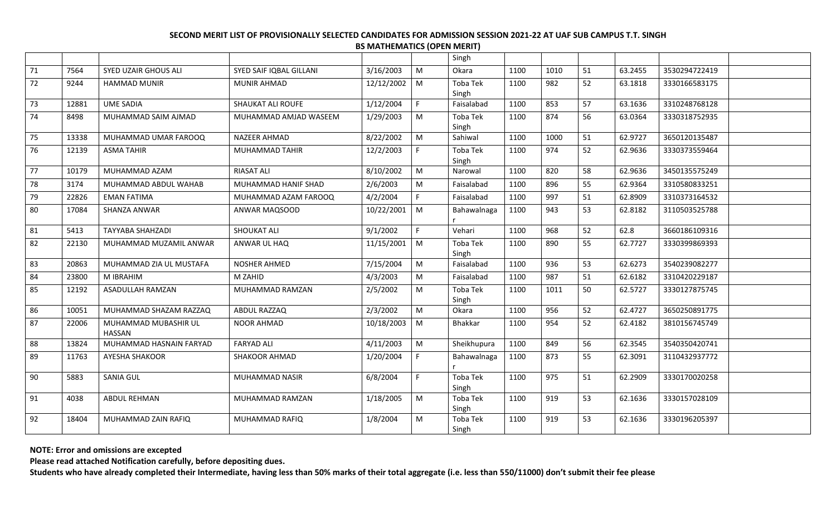|    |       |                                       |                         |            |           | Singh             |      |      |    |         |               |
|----|-------|---------------------------------------|-------------------------|------------|-----------|-------------------|------|------|----|---------|---------------|
| 71 | 7564  | <b>SYED UZAIR GHOUS ALI</b>           | SYED SAIF IQBAL GILLANI | 3/16/2003  | M         | Okara             | 1100 | 1010 | 51 | 63.2455 | 3530294722419 |
| 72 | 9244  | <b>HAMMAD MUNIR</b>                   | <b>MUNIR AHMAD</b>      | 12/12/2002 | M         | Toba Tek<br>Singh | 1100 | 982  | 52 | 63.1818 | 3330166583175 |
| 73 | 12881 | <b>UME SADIA</b>                      | SHAUKAT ALI ROUFE       | 1/12/2004  | E         | Faisalabad        | 1100 | 853  | 57 | 63.1636 | 3310248768128 |
| 74 | 8498  | MUHAMMAD SAIM AJMAD                   | MUHAMMAD AMJAD WASEEM   | 1/29/2003  | M         | Toba Tek<br>Singh | 1100 | 874  | 56 | 63.0364 | 3330318752935 |
| 75 | 13338 | MUHAMMAD UMAR FAROOQ                  | <b>NAZEER AHMAD</b>     | 8/22/2002  | ${\sf M}$ | Sahiwal           | 1100 | 1000 | 51 | 62.9727 | 3650120135487 |
| 76 | 12139 | <b>ASMA TAHIR</b>                     | MUHAMMAD TAHIR          | 12/2/2003  | F         | Toba Tek<br>Singh | 1100 | 974  | 52 | 62.9636 | 3330373559464 |
| 77 | 10179 | MUHAMMAD AZAM                         | <b>RIASAT ALI</b>       | 8/10/2002  | M         | Narowal           | 1100 | 820  | 58 | 62.9636 | 3450135575249 |
| 78 | 3174  | MUHAMMAD ABDUL WAHAB                  | MUHAMMAD HANIF SHAD     | 2/6/2003   | ${\sf M}$ | Faisalabad        | 1100 | 896  | 55 | 62.9364 | 3310580833251 |
| 79 | 22826 | <b>EMAN FATIMA</b>                    | MUHAMMAD AZAM FAROOQ    | 4/2/2004   | F.        | Faisalabad        | 1100 | 997  | 51 | 62.8909 | 3310373164532 |
| 80 | 17084 | SHANZA ANWAR                          | ANWAR MAQSOOD           | 10/22/2001 | M         | Bahawalnaga       | 1100 | 943  | 53 | 62.8182 | 3110503525788 |
| 81 | 5413  | <b>TAYYABA SHAHZADI</b>               | <b>SHOUKAT ALI</b>      | 9/1/2002   | F.        | Vehari            | 1100 | 968  | 52 | 62.8    | 3660186109316 |
| 82 | 22130 | MUHAMMAD MUZAMIL ANWAR                | ANWAR UL HAQ            | 11/15/2001 | M         | Toba Tek<br>Singh | 1100 | 890  | 55 | 62.7727 | 3330399869393 |
| 83 | 20863 | MUHAMMAD ZIA UL MUSTAFA               | <b>NOSHER AHMED</b>     | 7/15/2004  | ${\sf M}$ | Faisalabad        | 1100 | 936  | 53 | 62.6273 | 3540239082277 |
| 84 | 23800 | M IBRAHIM                             | M ZAHID                 | 4/3/2003   | M         | Faisalabad        | 1100 | 987  | 51 | 62.6182 | 3310420229187 |
| 85 | 12192 | ASADULLAH RAMZAN                      | MUHAMMAD RAMZAN         | 2/5/2002   | M         | Toba Tek<br>Singh | 1100 | 1011 | 50 | 62.5727 | 3330127875745 |
| 86 | 10051 | MUHAMMAD SHAZAM RAZZAQ                | <b>ABDUL RAZZAQ</b>     | 2/3/2002   | ${\sf M}$ | Okara             | 1100 | 956  | 52 | 62.4727 | 3650250891775 |
| 87 | 22006 | MUHAMMAD MUBASHIR UL<br><b>HASSAN</b> | <b>NOOR AHMAD</b>       | 10/18/2003 | M         | Bhakkar           | 1100 | 954  | 52 | 62.4182 | 3810156745749 |
| 88 | 13824 | MUHAMMAD HASNAIN FARYAD               | <b>FARYAD ALI</b>       | 4/11/2003  | ${\sf M}$ | Sheikhupura       | 1100 | 849  | 56 | 62.3545 | 3540350420741 |
| 89 | 11763 | AYESHA SHAKOOR                        | SHAKOOR AHMAD           | 1/20/2004  | F.        | Bahawalnaga       | 1100 | 873  | 55 | 62.3091 | 3110432937772 |
| 90 | 5883  | <b>SANIA GUL</b>                      | MUHAMMAD NASIR          | 6/8/2004   | F.        | Toba Tek<br>Singh | 1100 | 975  | 51 | 62.2909 | 3330170020258 |
| 91 | 4038  | ABDUL REHMAN                          | MUHAMMAD RAMZAN         | 1/18/2005  | M         | Toba Tek<br>Singh | 1100 | 919  | 53 | 62.1636 | 3330157028109 |
| 92 | 18404 | MUHAMMAD ZAIN RAFIQ                   | MUHAMMAD RAFIQ          | 1/8/2004   | M         | Toba Tek<br>Singh | 1100 | 919  | 53 | 62.1636 | 3330196205397 |

**NOTE: Error and omissions are excepted**

**Please read attached Notification carefully, before depositing dues.**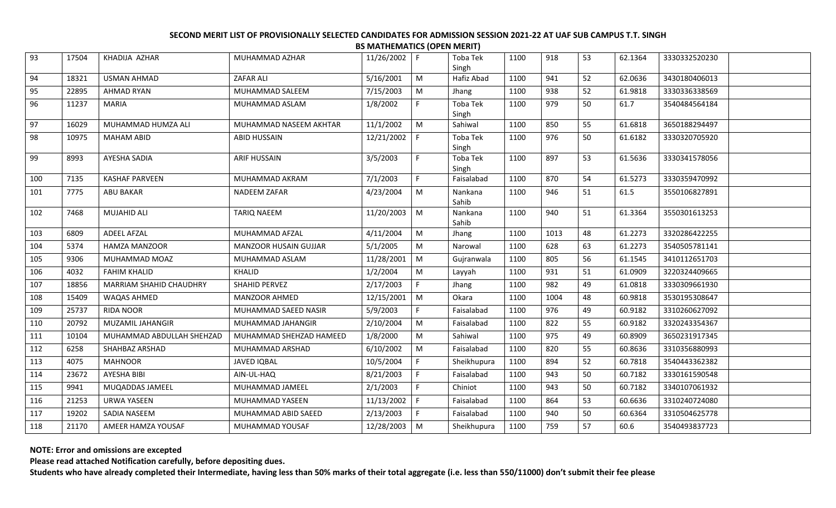| 93  | 17504 | KHADIJA AZHAR             | MUHAMMAD AZHAR          | 11/26/2002 F   |                | Toba Tek<br>Singh | 1100 | 918  | 53 | 62.1364 | 3330332520230 |  |
|-----|-------|---------------------------|-------------------------|----------------|----------------|-------------------|------|------|----|---------|---------------|--|
| 94  | 18321 | <b>USMAN AHMAD</b>        | <b>ZAFAR ALI</b>        | 5/16/2001      | M              | Hafiz Abad        | 1100 | 941  | 52 | 62.0636 | 3430180406013 |  |
| 95  | 22895 | <b>AHMAD RYAN</b>         | MUHAMMAD SALEEM         | 7/15/2003      | M              | Jhang             | 1100 | 938  | 52 | 61.9818 | 3330336338569 |  |
| 96  | 11237 | MARIA                     | MUHAMMAD ASLAM          | 1/8/2002       | F.             | Toba Tek<br>Singh | 1100 | 979  | 50 | 61.7    | 3540484564184 |  |
| 97  | 16029 | MUHAMMAD HUMZA ALI        | MUHAMMAD NASEEM AKHTAR  | 11/1/2002      | M              | Sahiwal           | 1100 | 850  | 55 | 61.6818 | 3650188294497 |  |
| 98  | 10975 | <b>MAHAM ABID</b>         | ABID HUSSAIN            | 12/21/2002     | IF.            | Toba Tek<br>Singh | 1100 | 976  | 50 | 61.6182 | 3330320705920 |  |
| 99  | 8993  | AYESHA SADIA              | <b>ARIF HUSSAIN</b>     | 3/5/2003       | F.             | Toba Tek<br>Singh | 1100 | 897  | 53 | 61.5636 | 3330341578056 |  |
| 100 | 7135  | <b>KASHAF PARVEEN</b>     | MUHAMMAD AKRAM          | 7/1/2003       | F.             | Faisalabad        | 1100 | 870  | 54 | 61.5273 | 3330359470992 |  |
| 101 | 7775  | <b>ABU BAKAR</b>          | NADEEM ZAFAR            | 4/23/2004      | M              | Nankana<br>Sahib  | 1100 | 946  | 51 | 61.5    | 3550106827891 |  |
| 102 | 7468  | <b>MUJAHID ALI</b>        | <b>TARIQ NAEEM</b>      | 11/20/2003     | $\blacksquare$ | Nankana<br>Sahib  | 1100 | 940  | 51 | 61.3364 | 3550301613253 |  |
| 103 | 6809  | <b>ADEEL AFZAL</b>        | MUHAMMAD AFZAL          | 4/11/2004      | M              | Jhang             | 1100 | 1013 | 48 | 61.2273 | 3320286422255 |  |
| 104 | 5374  | <b>HAMZA MANZOOR</b>      | MANZOOR HUSAIN GUJJAR   | 5/1/2005       | M              | Narowal           | 1100 | 628  | 63 | 61.2273 | 3540505781141 |  |
| 105 | 9306  | MUHAMMAD MOAZ             | MUHAMMAD ASLAM          | 11/28/2001     | M              | Gujranwala        | 1100 | 805  | 56 | 61.1545 | 3410112651703 |  |
| 106 | 4032  | <b>FAHIM KHALID</b>       | KHALID                  | 1/2/2004       | M              | Layyah            | 1100 | 931  | 51 | 61.0909 | 3220324409665 |  |
| 107 | 18856 | MARRIAM SHAHID CHAUDHRY   | SHAHID PERVEZ           | 2/17/2003      | F              | Jhang             | 1100 | 982  | 49 | 61.0818 | 3330309661930 |  |
| 108 | 15409 | WAQAS AHMED               | <b>MANZOOR AHMED</b>    | 12/15/2001     | M              | Okara             | 1100 | 1004 | 48 | 60.9818 | 3530195308647 |  |
| 109 | 25737 | <b>RIDA NOOR</b>          | MUHAMMAD SAEED NASIR    | 5/9/2003       | F.             | Faisalabad        | 1100 | 976  | 49 | 60.9182 | 3310260627092 |  |
| 110 | 20792 | MUZAMIL JAHANGIR          | MUHAMMAD JAHANGIR       | 2/10/2004      | ${\sf M}$      | Faisalabad        | 1100 | 822  | 55 | 60.9182 | 3320243354367 |  |
| 111 | 10104 | MUHAMMAD ABDULLAH SHEHZAD | MUHAMMAD SHEHZAD HAMEED | 1/8/2000       | M              | Sahiwal           | 1100 | 975  | 49 | 60.8909 | 3650231917345 |  |
| 112 | 6258  | SHAHBAZ ARSHAD            | MUHAMMAD ARSHAD         | 6/10/2002      | M              | Faisalabad        | 1100 | 820  | 55 | 60.8636 | 3310356880993 |  |
| 113 | 4075  | <b>MAHNOOR</b>            | <b>JAVED IQBAL</b>      | 10/5/2004      | F.             | Sheikhupura       | 1100 | 894  | 52 | 60.7818 | 3540443362382 |  |
| 114 | 23672 | AYESHA BIBI               | AIN-UL-HAQ              | 8/21/2003      | F              | Faisalabad        | 1100 | 943  | 50 | 60.7182 | 3330161590548 |  |
| 115 | 9941  | MUQADDAS JAMEEL           | MUHAMMAD JAMEEL         | 2/1/2003       | F.             | Chiniot           | 1100 | 943  | 50 | 60.7182 | 3340107061932 |  |
| 116 | 21253 | <b>URWA YASEEN</b>        | MUHAMMAD YASEEN         | 11/13/2002     | F              | Faisalabad        | 1100 | 864  | 53 | 60.6636 | 3310240724080 |  |
| 117 | 19202 | SADIA NASEEM              | MUHAMMAD ABID SAEED     | 2/13/2003      | F.             | Faisalabad        | 1100 | 940  | 50 | 60.6364 | 3310504625778 |  |
| 118 | 21170 | AMEER HAMZA YOUSAF        | MUHAMMAD YOUSAF         | $12/28/2003$ M |                | Sheikhupura       | 1100 | 759  | 57 | 60.6    | 3540493837723 |  |

**NOTE: Error and omissions are excepted**

**Please read attached Notification carefully, before depositing dues.**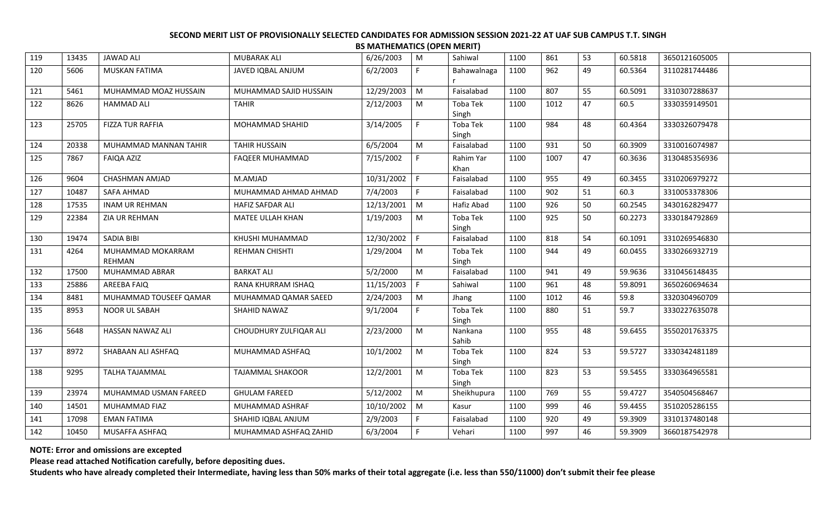| 119 | 13435 | <b>JAWAD ALI</b>            | <b>MUBARAK ALI</b>      | 6/26/2003  | M            | Sahiwal                  | 1100 | 861  | 53 | 60.5818 | 3650121605005 |  |
|-----|-------|-----------------------------|-------------------------|------------|--------------|--------------------------|------|------|----|---------|---------------|--|
| 120 | 5606  | <b>MUSKAN FATIMA</b>        | JAVED IQBAL ANJUM       | 6/2/2003   | F            | Bahawalnaga              | 1100 | 962  | 49 | 60.5364 | 3110281744486 |  |
| 121 | 5461  | MUHAMMAD MOAZ HUSSAIN       | MUHAMMAD SAJID HUSSAIN  | 12/29/2003 | M            | Faisalabad               | 1100 | 807  | 55 | 60.5091 | 3310307288637 |  |
| 122 | 8626  | <b>HAMMAD ALI</b>           | <b>TAHIR</b>            | 2/12/2003  | M            | Toba Tek<br>Singh        | 1100 | 1012 | 47 | 60.5    | 3330359149501 |  |
| 123 | 25705 | <b>FIZZA TUR RAFFIA</b>     | MOHAMMAD SHAHID         | 3/14/2005  | F.           | Toba Tek<br>Singh        | 1100 | 984  | 48 | 60.4364 | 3330326079478 |  |
| 124 | 20338 | MUHAMMAD MANNAN TAHIR       | <b>TAHIR HUSSAIN</b>    | 6/5/2004   | M            | Faisalabad               | 1100 | 931  | 50 | 60.3909 | 3310016074987 |  |
| 125 | 7867  | <b>FAIQA AZIZ</b>           | <b>FAQEER MUHAMMAD</b>  | 7/15/2002  | F            | Rahim Yar<br>Khan        | 1100 | 1007 | 47 | 60.3636 | 3130485356936 |  |
| 126 | 9604  | CHASHMAN AMJAD              | M.AMJAD                 | 10/31/2002 | $\mathsf{F}$ | Faisalabad               | 1100 | 955  | 49 | 60.3455 | 3310206979272 |  |
| 127 | 10487 | SAFA AHMAD                  | MUHAMMAD AHMAD AHMAD    | 7/4/2003   | F.           | Faisalabad               | 1100 | 902  | 51 | 60.3    | 3310053378306 |  |
| 128 | 17535 | <b>INAM UR REHMAN</b>       | HAFIZ SAFDAR ALI        | 12/13/2001 | M            | Hafiz Abad               | 1100 | 926  | 50 | 60.2545 | 3430162829477 |  |
| 129 | 22384 | ZIA UR REHMAN               | MATEE ULLAH KHAN        | 1/19/2003  | M            | Toba Tek<br>Singh        | 1100 | 925  | 50 | 60.2273 | 3330184792869 |  |
| 130 | 19474 | SADIA BIBI                  | KHUSHI MUHAMMAD         | 12/30/2002 | l F          | Faisalabad               | 1100 | 818  | 54 | 60.1091 | 3310269546830 |  |
| 131 | 4264  | MUHAMMAD MOKARRAM<br>REHMAN | <b>REHMAN CHISHTI</b>   | 1/29/2004  | M            | <b>Toba Tek</b><br>Singh | 1100 | 944  | 49 | 60.0455 | 3330266932719 |  |
| 132 | 17500 | MUHAMMAD ABRAR              | <b>BARKAT ALI</b>       | 5/2/2000   | M            | Faisalabad               | 1100 | 941  | 49 | 59.9636 | 3310456148435 |  |
| 133 | 25886 | AREEBA FAIQ                 | RANA KHURRAM ISHAQ      | 11/15/2003 | $\mathsf{F}$ | Sahiwal                  | 1100 | 961  | 48 | 59.8091 | 3650260694634 |  |
| 134 | 8481  | MUHAMMAD TOUSEEF QAMAR      | MUHAMMAD QAMAR SAEED    | 2/24/2003  | ${\sf M}$    | Jhang                    | 1100 | 1012 | 46 | 59.8    | 3320304960709 |  |
| 135 | 8953  | NOOR UL SABAH               | SHAHID NAWAZ            | 9/1/2004   | F.           | Toba Tek<br>Singh        | 1100 | 880  | 51 | 59.7    | 3330227635078 |  |
| 136 | 5648  | HASSAN NAWAZ ALI            | CHOUDHURY ZULFIQAR ALI  | 2/23/2000  | M            | Nankana<br>Sahib         | 1100 | 955  | 48 | 59.6455 | 3550201763375 |  |
| 137 | 8972  | SHABAAN ALI ASHFAQ          | MUHAMMAD ASHFAQ         | 10/1/2002  | M            | Toba Tek<br>Singh        | 1100 | 824  | 53 | 59.5727 | 3330342481189 |  |
| 138 | 9295  | <b>TALHA TAJAMMAL</b>       | <b>TAJAMMAL SHAKOOR</b> | 12/2/2001  | M            | Toba Tek<br>Singh        | 1100 | 823  | 53 | 59.5455 | 3330364965581 |  |
| 139 | 23974 | MUHAMMAD USMAN FAREED       | <b>GHULAM FAREED</b>    | 5/12/2002  | M            | Sheikhupura              | 1100 | 769  | 55 | 59.4727 | 3540504568467 |  |
| 140 | 14501 | MUHAMMAD FIAZ               | MUHAMMAD ASHRAF         | 10/10/2002 | M            | Kasur                    | 1100 | 999  | 46 | 59.4455 | 3510205286155 |  |
| 141 | 17098 | <b>EMAN FATIMA</b>          | SHAHID IQBAL ANJUM      | 2/9/2003   | F.           | Faisalabad               | 1100 | 920  | 49 | 59.3909 | 3310137480148 |  |
| 142 | 10450 | MUSAFFA ASHFAQ              | MUHAMMAD ASHFAQ ZAHID   | 6/3/2004   | E            | Vehari                   | 1100 | 997  | 46 | 59.3909 | 3660187542978 |  |
|     |       |                             |                         |            |              |                          |      |      |    |         |               |  |

**NOTE: Error and omissions are excepted**

**Please read attached Notification carefully, before depositing dues.**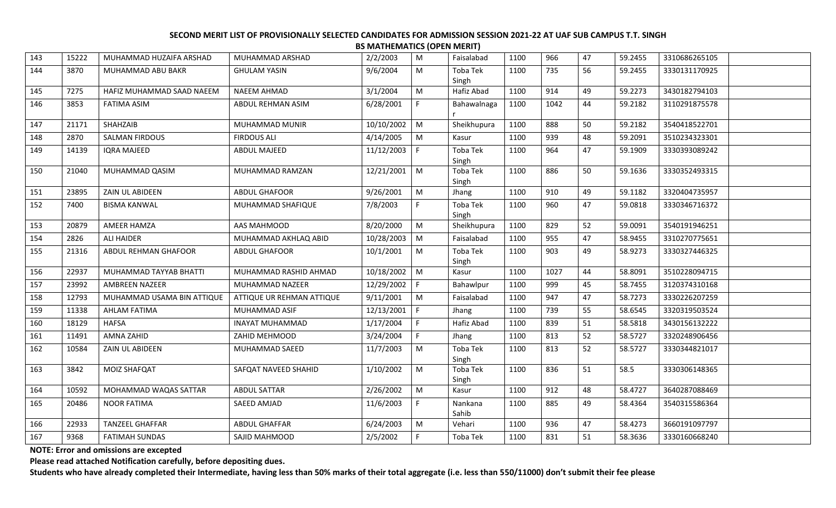| 143 | 15222 | MUHAMMAD HUZAIFA ARSHAD    | MUHAMMAD ARSHAD           | 2/2/2003   | M              | Faisalabad        | 1100 | 966  | 47 | 59.2455 | 3310686265105 |  |
|-----|-------|----------------------------|---------------------------|------------|----------------|-------------------|------|------|----|---------|---------------|--|
| 144 | 3870  | MUHAMMAD ABU BAKR          | <b>GHULAM YASIN</b>       | 9/6/2004   | M              | Toba Tek<br>Singh | 1100 | 735  | 56 | 59.2455 | 3330131170925 |  |
| 145 | 7275  | HAFIZ MUHAMMAD SAAD NAEEM  | <b>NAEEM AHMAD</b>        | 3/1/2004   | ${\sf M}$      | Hafiz Abad        | 1100 | 914  | 49 | 59.2273 | 3430182794103 |  |
| 146 | 3853  | <b>FATIMA ASIM</b>         | ABDUL REHMAN ASIM         | 6/28/2001  | F.             | Bahawalnaga       | 1100 | 1042 | 44 | 59.2182 | 3110291875578 |  |
| 147 | 21171 | SHAHZAIB                   | MUHAMMAD MUNIR            | 10/10/2002 | M              | Sheikhupura       | 1100 | 888  | 50 | 59.2182 | 3540418522701 |  |
| 148 | 2870  | <b>SALMAN FIRDOUS</b>      | <b>FIRDOUS ALI</b>        | 4/14/2005  | M              | Kasur             | 1100 | 939  | 48 | 59.2091 | 3510234323301 |  |
| 149 | 14139 | <b>IQRA MAJEED</b>         | <b>ABDUL MAJEED</b>       | 11/12/2003 | F              | Toba Tek<br>Singh | 1100 | 964  | 47 | 59.1909 | 3330393089242 |  |
| 150 | 21040 | MUHAMMAD QASIM             | MUHAMMAD RAMZAN           | 12/21/2001 | $\mid M$       | Toba Tek<br>Singh | 1100 | 886  | 50 | 59.1636 | 3330352493315 |  |
| 151 | 23895 | ZAIN UL ABIDEEN            | ABDUL GHAFOOR             | 9/26/2001  | M              | Jhang             | 1100 | 910  | 49 | 59.1182 | 3320404735957 |  |
| 152 | 7400  | <b>BISMA KANWAL</b>        | MUHAMMAD SHAFIQUE         | 7/8/2003   | F              | Toba Tek<br>Singh | 1100 | 960  | 47 | 59.0818 | 3330346716372 |  |
| 153 | 20879 | <b>AMEER HAMZA</b>         | AAS MAHMOOD               | 8/20/2000  | M              | Sheikhupura       | 1100 | 829  | 52 | 59.0091 | 3540191946251 |  |
| 154 | 2826  | <b>ALI HAIDER</b>          | MUHAMMAD AKHLAQ ABID      | 10/28/2003 | M              | Faisalabad        | 1100 | 955  | 47 | 58.9455 | 3310270775651 |  |
| 155 | 21316 | ABDUL REHMAN GHAFOOR       | <b>ABDUL GHAFOOR</b>      | 10/1/2001  | M              | Toba Tek<br>Singh | 1100 | 903  | 49 | 58.9273 | 3330327446325 |  |
| 156 | 22937 | MUHAMMAD TAYYAB BHATTI     | MUHAMMAD RASHID AHMAD     | 10/18/2002 | $\blacksquare$ | Kasur             | 1100 | 1027 | 44 | 58.8091 | 3510228094715 |  |
| 157 | 23992 | AMBREEN NAZEER             | MUHAMMAD NAZEER           | 12/29/2002 | l F            | Bahawlpur         | 1100 | 999  | 45 | 58.7455 | 3120374310168 |  |
| 158 | 12793 | MUHAMMAD USAMA BIN ATTIQUE | ATTIQUE UR REHMAN ATTIQUE | 9/11/2001  | M              | Faisalabad        | 1100 | 947  | 47 | 58.7273 | 3330226207259 |  |
| 159 | 11338 | <b>AHLAM FATIMA</b>        | MUHAMMAD ASIF             | 12/13/2001 | l F            | Jhang             | 1100 | 739  | 55 | 58.6545 | 3320319503524 |  |
| 160 | 18129 | <b>HAFSA</b>               | <b>INAYAT MUHAMMAD</b>    | 1/17/2004  | F              | Hafiz Abad        | 1100 | 839  | 51 | 58.5818 | 3430156132222 |  |
| 161 | 11491 | AMNA ZAHID                 | ZAHID MEHMOOD             | 3/24/2004  | F.             | Jhang             | 1100 | 813  | 52 | 58.5727 | 3320248906456 |  |
| 162 | 10584 | ZAIN UL ABIDEEN            | MUHAMMAD SAEED            | 11/7/2003  | M              | Toba Tek<br>Singh | 1100 | 813  | 52 | 58.5727 | 3330344821017 |  |
| 163 | 3842  | MOIZ SHAFQAT               | SAFQAT NAVEED SHAHID      | 1/10/2002  | M              | Toba Tek<br>Singh | 1100 | 836  | 51 | 58.5    | 3330306148365 |  |
| 164 | 10592 | MOHAMMAD WAQAS SATTAR      | <b>ABDUL SATTAR</b>       | 2/26/2002  | M              | Kasur             | 1100 | 912  | 48 | 58.4727 | 3640287088469 |  |
| 165 | 20486 | <b>NOOR FATIMA</b>         | SAEED AMJAD               | 11/6/2003  | F              | Nankana<br>Sahib  | 1100 | 885  | 49 | 58.4364 | 3540315586364 |  |
| 166 | 22933 | <b>TANZEEL GHAFFAR</b>     | <b>ABDUL GHAFFAR</b>      | 6/24/2003  | M              | Vehari            | 1100 | 936  | 47 | 58.4273 | 3660191097797 |  |
| 167 | 9368  | <b>FATIMAH SUNDAS</b>      | SAJID MAHMOOD             | 2/5/2002   | $\mathsf{F}$   | Toba Tek          | 1100 | 831  | 51 | 58.3636 | 3330160668240 |  |

**NOTE: Error and omissions are excepted**

**Please read attached Notification carefully, before depositing dues.**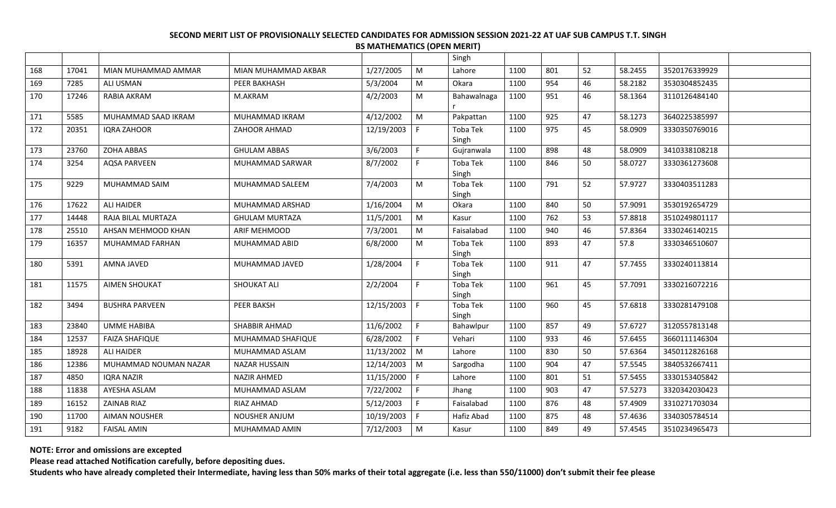|     |       |                       |                       |            |              | Singh             |      |     |    |         |               |  |
|-----|-------|-----------------------|-----------------------|------------|--------------|-------------------|------|-----|----|---------|---------------|--|
| 168 | 17041 | MIAN MUHAMMAD AMMAR   | MIAN MUHAMMAD AKBAR   | 1/27/2005  | M            | Lahore            | 1100 | 801 | 52 | 58.2455 | 3520176339929 |  |
| 169 | 7285  | <b>ALI USMAN</b>      | PEER BAKHASH          | 5/3/2004   | M            | Okara             | 1100 | 954 | 46 | 58.2182 | 3530304852435 |  |
| 170 | 17246 | RABIA AKRAM           | M.AKRAM               | 4/2/2003   | ${\sf M}$    | Bahawalnaga       | 1100 | 951 | 46 | 58.1364 | 3110126484140 |  |
|     |       |                       |                       |            |              |                   |      |     |    |         |               |  |
| 171 | 5585  | MUHAMMAD SAAD IKRAM   | MUHAMMAD IKRAM        | 4/12/2002  | M            | Pakpattan         | 1100 | 925 | 47 | 58.1273 | 3640225385997 |  |
| 172 | 20351 | <b>IORA ZAHOOR</b>    | ZAHOOR AHMAD          | 12/19/2003 | -F           | Toba Tek          | 1100 | 975 | 45 | 58.0909 | 3330350769016 |  |
|     |       |                       |                       |            |              | Singh             |      |     |    |         |               |  |
| 173 | 23760 | <b>ZOHA ABBAS</b>     | <b>GHULAM ABBAS</b>   | 3/6/2003   | E            | Gujranwala        | 1100 | 898 | 48 | 58.0909 | 3410338108218 |  |
| 174 | 3254  | <b>AQSA PARVEEN</b>   | MUHAMMAD SARWAR       | 8/7/2002   | $\mathsf{F}$ | Toba Tek<br>Singh | 1100 | 846 | 50 | 58.0727 | 3330361273608 |  |
| 175 | 9229  | MUHAMMAD SAIM         | MUHAMMAD SALEEM       | 7/4/2003   | M            | Toba Tek          | 1100 | 791 | 52 | 57.9727 | 3330403511283 |  |
|     |       |                       |                       |            |              | Singh             |      |     |    |         |               |  |
| 176 | 17622 | <b>ALI HAIDER</b>     | MUHAMMAD ARSHAD       | 1/16/2004  | M            | Okara             | 1100 | 840 | 50 | 57.9091 | 3530192654729 |  |
| 177 | 14448 | RAJA BILAL MURTAZA    | <b>GHULAM MURTAZA</b> | 11/5/2001  | M            | Kasur             | 1100 | 762 | 53 | 57.8818 | 3510249801117 |  |
| 178 | 25510 | AHSAN MEHMOOD KHAN    | ARIF MEHMOOD          | 7/3/2001   | ${\sf M}$    | Faisalabad        | 1100 | 940 | 46 | 57.8364 | 3330246140215 |  |
| 179 | 16357 | MUHAMMAD FARHAN       | MUHAMMAD ABID         | 6/8/2000   | M            | Toba Tek          | 1100 | 893 | 47 | 57.8    | 3330346510607 |  |
|     |       |                       |                       |            |              | Singh             |      |     |    |         |               |  |
| 180 | 5391  | AMNA JAVED            | MUHAMMAD JAVED        | 1/28/2004  | $\mathsf{F}$ | Toba Tek<br>Singh | 1100 | 911 | 47 | 57.7455 | 3330240113814 |  |
| 181 | 11575 | <b>AIMEN SHOUKAT</b>  | <b>SHOUKAT ALI</b>    | 2/2/2004   | F            | Toba Tek          | 1100 | 961 | 45 | 57.7091 | 3330216072216 |  |
|     |       |                       |                       |            |              | Singh             |      |     |    |         |               |  |
| 182 | 3494  | <b>BUSHRA PARVEEN</b> | PEER BAKSH            | 12/15/2003 | l F          | Toba Tek          | 1100 | 960 | 45 | 57.6818 | 3330281479108 |  |
|     |       |                       |                       |            |              | Singh             |      |     |    |         |               |  |
| 183 | 23840 | <b>UMME HABIBA</b>    | SHABBIR AHMAD         | 11/6/2002  | F.           | Bahawlpur         | 1100 | 857 | 49 | 57.6727 | 3120557813148 |  |
| 184 | 12537 | <b>FAIZA SHAFIQUE</b> | MUHAMMAD SHAFIQUE     | 6/28/2002  | $\mathsf{F}$ | Vehari            | 1100 | 933 | 46 | 57.6455 | 3660111146304 |  |
| 185 | 18928 | <b>ALI HAIDER</b>     | MUHAMMAD ASLAM        | 11/13/2002 | M            | Lahore            | 1100 | 830 | 50 | 57.6364 | 3450112826168 |  |
| 186 | 12386 | MUHAMMAD NOUMAN NAZAR | <b>NAZAR HUSSAIN</b>  | 12/14/2003 | M            | Sargodha          | 1100 | 904 | 47 | 57.5545 | 3840532667411 |  |
| 187 | 4850  | IQRA NAZIR            | NAZIR AHMED           | 11/15/2000 | l F          | Lahore            | 1100 | 801 | 51 | 57.5455 | 3330153405842 |  |
| 188 | 11838 | AYESHA ASLAM          | MUHAMMAD ASLAM        | 7/22/2002  | E            | Jhang             | 1100 | 903 | 47 | 57.5273 | 3320342030423 |  |
| 189 | 16152 | <b>ZAINAB RIAZ</b>    | RIAZ AHMAD            | 5/12/2003  | E            | Faisalabad        | 1100 | 876 | 48 | 57.4909 | 3310271703034 |  |
| 190 | 11700 | <b>AIMAN NOUSHER</b>  | <b>NOUSHER ANJUM</b>  | 10/19/2003 | F.           | Hafiz Abad        | 1100 | 875 | 48 | 57.4636 | 3340305784514 |  |
| 191 | 9182  | <b>FAISAL AMIN</b>    | MUHAMMAD AMIN         | 7/12/2003  | M            | Kasur             | 1100 | 849 | 49 | 57.4545 | 3510234965473 |  |
|     |       |                       |                       |            |              |                   |      |     |    |         |               |  |

**NOTE: Error and omissions are excepted**

**Please read attached Notification carefully, before depositing dues.**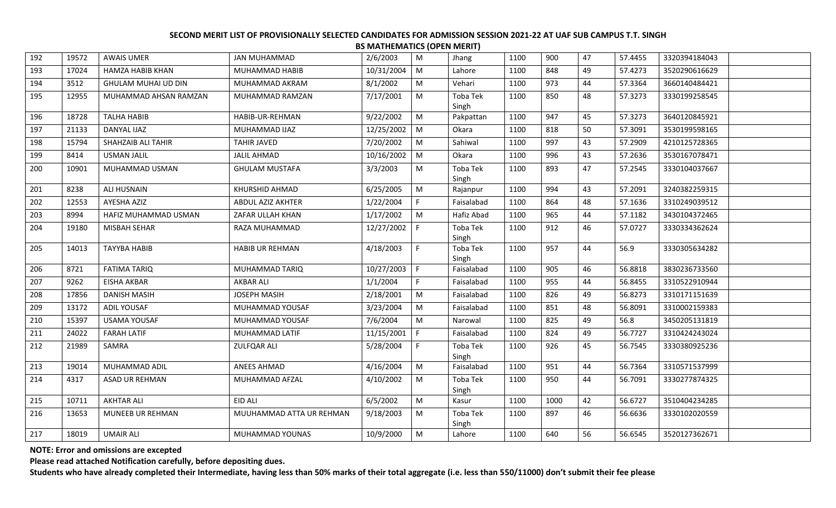|     |       |                         |                          |            |              | . 1        |      |      |    |         |               |
|-----|-------|-------------------------|--------------------------|------------|--------------|------------|------|------|----|---------|---------------|
| 192 | 19572 | <b>AWAIS UMER</b>       | <b>JAN MUHAMMAD</b>      | 2/6/2003   | M            | Jhang      | 1100 | 900  | 47 | 57.4455 | 3320394184043 |
| 193 | 17024 | <b>HAMZA HABIB KHAN</b> | MUHAMMAD HABIB           | 10/31/2004 | M            | Lahore     | 1100 | 848  | 49 | 57.4273 | 3520290616629 |
| 194 | 3512  | GHULAM MUHAI UD DIN     | MUHAMMAD AKRAM           | 8/1/2002   | ${\sf M}$    | Vehari     | 1100 | 973  | 44 | 57.3364 | 3660140484421 |
| 195 | 12955 | MUHAMMAD AHSAN RAMZAN   | MUHAMMAD RAMZAN          | 7/17/2001  | M            | Toba Tek   | 1100 | 850  | 48 | 57.3273 | 3330199258545 |
|     |       |                         |                          |            |              | Singh      |      |      |    |         |               |
| 196 | 18728 | <b>TALHA HABIB</b>      | HABIB-UR-REHMAN          | 9/22/2002  | M            | Pakpattan  | 1100 | 947  | 45 | 57.3273 | 3640120845921 |
| 197 | 21133 | DANYAL IJAZ             | MUHAMMAD IJAZ            | 12/25/2002 | M            | Okara      | 1100 | 818  | 50 | 57.3091 | 3530199598165 |
| 198 | 15794 | SHAHZAIB ALI TAHIR      | <b>TAHIR JAVED</b>       | 7/20/2002  | M            | Sahiwal    | 1100 | 997  | 43 | 57.2909 | 4210125728365 |
| 199 | 8414  | <b>USMAN JALIL</b>      | <b>JALIL AHMAD</b>       | 10/16/2002 | M            | Okara      | 1100 | 996  | 43 | 57.2636 | 3530167078471 |
| 200 | 10901 | MUHAMMAD USMAN          | <b>GHULAM MUSTAFA</b>    | 3/3/2003   | M            | Toba Tek   | 1100 | 893  | 47 | 57.2545 | 3330104037667 |
|     |       |                         |                          |            |              | Singh      |      |      |    |         |               |
| 201 | 8238  | ALI HUSNAIN             | KHURSHID AHMAD           | 6/25/2005  | ${\sf M}$    | Rajanpur   | 1100 | 994  | 43 | 57.2091 | 3240382259315 |
| 202 | 12553 | AYESHA AZIZ             | ABDUL AZIZ AKHTER        | 1/22/2004  | F.           | Faisalabad | 1100 | 864  | 48 | 57.1636 | 3310249039512 |
| 203 | 8994  | HAFIZ MUHAMMAD USMAN    | ZAFAR ULLAH KHAN         | 1/17/2002  | M            | Hafiz Abad | 1100 | 965  | 44 | 57.1182 | 3430104372465 |
| 204 | 19180 | MISBAH SEHAR            | RAZA MUHAMMAD            | 12/27/2002 | $\mathsf{F}$ | Toba Tek   | 1100 | 912  | 46 | 57.0727 | 3330334362624 |
|     |       |                         |                          |            |              | Singh      |      |      |    |         |               |
| 205 | 14013 | <b>TAYYBA HABIB</b>     | <b>HABIB UR REHMAN</b>   | 4/18/2003  | F.           | Toba Tek   | 1100 | 957  | 44 | 56.9    | 3330305634282 |
|     |       |                         |                          |            |              | Singh      |      |      |    |         |               |
| 206 | 8721  | <b>FATIMA TARIQ</b>     | MUHAMMAD TARIQ           | 10/27/2003 | $\mathsf{F}$ | Faisalabad | 1100 | 905  | 46 | 56.8818 | 3830236733560 |
| 207 | 9262  | <b>EISHA AKBAR</b>      | AKBAR ALI                | 1/1/2004   | F.           | Faisalabad | 1100 | 955  | 44 | 56.8455 | 3310522910944 |
| 208 | 17856 | <b>DANISH MASIH</b>     | <b>JOSEPH MASIH</b>      | 2/18/2001  | M            | Faisalabad | 1100 | 826  | 49 | 56.8273 | 3310171151639 |
| 209 | 13172 | ADIL YOUSAF             | MUHAMMAD YOUSAF          | 3/23/2004  | M            | Faisalabad | 1100 | 851  | 48 | 56.8091 | 3310002159383 |
| 210 | 15397 | <b>USAMA YOUSAF</b>     | MUHAMMAD YOUSAF          | 7/6/2004   | M            | Narowal    | 1100 | 825  | 49 | 56.8    | 3450205131819 |
| 211 | 24022 | <b>FARAH LATIF</b>      | MUHAMMAD LATIF           | 11/15/2001 | F            | Faisalabad | 1100 | 824  | 49 | 56.7727 | 3310424243024 |
| 212 | 21989 | SAMRA                   | <b>ZULFQAR ALI</b>       | 5/28/2004  | F.           | Toba Tek   | 1100 | 926  | 45 | 56.7545 | 3330380925236 |
|     |       |                         |                          |            |              | Singh      |      |      |    |         |               |
| 213 | 19014 | MUHAMMAD ADIL           | ANEES AHMAD              | 4/16/2004  | M            | Faisalabad | 1100 | 951  | 44 | 56.7364 | 3310571537999 |
| 214 | 4317  | <b>ASAD UR REHMAN</b>   | MUHAMMAD AFZAL           | 4/10/2002  | M            | Toba Tek   | 1100 | 950  | 44 | 56.7091 | 3330277874325 |
|     |       |                         |                          |            |              | Singh      |      |      |    |         |               |
| 215 | 10711 | <b>AKHTAR ALI</b>       | EID ALI                  | 6/5/2002   | M            | Kasur      | 1100 | 1000 | 42 | 56.6727 | 3510404234285 |
| 216 | 13653 | MUNEEB UR REHMAN        | MUUHAMMAD ATTA UR REHMAN | 9/18/2003  | M            | Toba Tek   | 1100 | 897  | 46 | 56.6636 | 3330102020559 |
|     |       |                         |                          |            |              | Singh      |      |      |    |         |               |
| 217 | 18019 | <b>UMAIR ALI</b>        | MUHAMMAD YOUNAS          | 10/9/2000  | M            | Lahore     | 1100 | 640  | 56 | 56.6545 | 3520127362671 |

**NOTE: Error and omissions are excepted**

**Please read attached Notification carefully, before depositing dues.**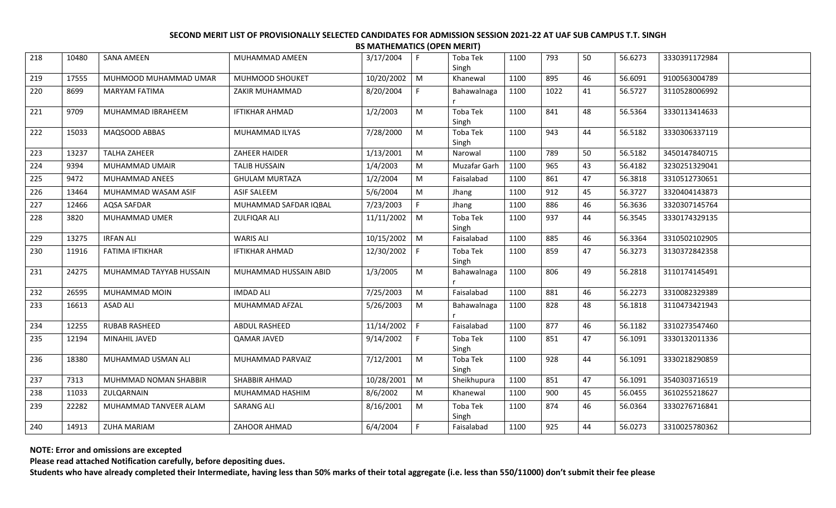| 218 | 10480 | <b>SANA AMEEN</b>       | MUHAMMAD AMEEN        | 3/17/2004        | F.                                                                                                         | Toba Tek<br>Singh        | 1100 | 793  | 50 | 56.6273 | 3330391172984 |  |
|-----|-------|-------------------------|-----------------------|------------------|------------------------------------------------------------------------------------------------------------|--------------------------|------|------|----|---------|---------------|--|
| 219 | 17555 | MUHMOOD MUHAMMAD UMAR   | MUHMOOD SHOUKET       | 10/20/2002       | M                                                                                                          | Khanewal                 | 1100 | 895  | 46 | 56.6091 | 9100563004789 |  |
| 220 | 8699  | <b>MARYAM FATIMA</b>    | ZAKIR MUHAMMAD        | 8/20/2004        | F.                                                                                                         | Bahawalnaga              | 1100 | 1022 | 41 | 56.5727 | 3110528006992 |  |
| 221 | 9709  | MUHAMMAD IBRAHEEM       | <b>IFTIKHAR AHMAD</b> | 1/2/2003         | M                                                                                                          | <b>Toba Tek</b><br>Singh | 1100 | 841  | 48 | 56.5364 | 3330113414633 |  |
| 222 | 15033 | MAQSOOD ABBAS           | MUHAMMAD ILYAS        | 7/28/2000        | ${\sf M}$                                                                                                  | Toba Tek<br>Singh        | 1100 | 943  | 44 | 56.5182 | 3330306337119 |  |
| 223 | 13237 | <b>TALHA ZAHEER</b>     | ZAHEER HAIDER         | 1/13/2001        | ${\sf M}$                                                                                                  | Narowal                  | 1100 | 789  | 50 | 56.5182 | 3450147840715 |  |
| 224 | 9394  | MUHAMMAD UMAIR          | <b>TALIB HUSSAIN</b>  | 1/4/2003         | M                                                                                                          | Muzafar Garh             | 1100 | 965  | 43 | 56.4182 | 3230251329041 |  |
| 225 | 9472  | MUHAMMAD ANEES          | <b>GHULAM MURTAZA</b> | 1/2/2004         | M                                                                                                          | Faisalabad               | 1100 | 861  | 47 | 56.3818 | 3310512730651 |  |
| 226 | 13464 | MUHAMMAD WASAM ASIF     | ASIF SALEEM           | 5/6/2004         | M                                                                                                          | Jhang                    | 1100 | 912  | 45 | 56.3727 | 3320404143873 |  |
| 227 | 12466 | AQSA SAFDAR             | MUHAMMAD SAFDAR IQBAL | 7/23/2003        | F                                                                                                          | Jhang                    | 1100 | 886  | 46 | 56.3636 | 3320307145764 |  |
| 228 | 3820  | <b>MUHAMMAD UMER</b>    | <b>ZULFIQAR ALI</b>   | $11/11/2002$ M   |                                                                                                            | Toba Tek<br>Singh        | 1100 | 937  | 44 | 56.3545 | 3330174329135 |  |
| 229 | 13275 | <b>IRFAN ALI</b>        | <b>WARIS ALI</b>      | 10/15/2002 M     |                                                                                                            | Faisalabad               | 1100 | 885  | 46 | 56.3364 | 3310502102905 |  |
| 230 | 11916 | <b>FATIMA IFTIKHAR</b>  | <b>IFTIKHAR AHMAD</b> | 12/30/2002   F   |                                                                                                            | Toba Tek<br>Singh        | 1100 | 859  | 47 | 56.3273 | 3130372842358 |  |
| 231 | 24275 | MUHAMMAD TAYYAB HUSSAIN | MUHAMMAD HUSSAIN ABID | 1/3/2005         | M                                                                                                          | Bahawalnaga              | 1100 | 806  | 49 | 56.2818 | 3110174145491 |  |
| 232 | 26595 | MUHAMMAD MOIN           | <b>IMDAD ALI</b>      | 7/25/2003        | M                                                                                                          | Faisalabad               | 1100 | 881  | 46 | 56.2273 | 3310082329389 |  |
| 233 | 16613 | <b>ASAD ALI</b>         | MUHAMMAD AFZAL        | 5/26/2003        | M                                                                                                          | Bahawalnaga              | 1100 | 828  | 48 | 56.1818 | 3110473421943 |  |
| 234 | 12255 | <b>RUBAB RASHEED</b>    | ABDUL RASHEED         | $11/14/2002$   F |                                                                                                            | Faisalabad               | 1100 | 877  | 46 | 56.1182 | 3310273547460 |  |
| 235 | 12194 | MINAHIL JAVED           | QAMAR JAVED           | 9/14/2002        | F                                                                                                          | Toba Tek<br>Singh        | 1100 | 851  | 47 | 56.1091 | 3330132011336 |  |
| 236 | 18380 | MUHAMMAD USMAN ALI      | MUHAMMAD PARVAIZ      | 7/12/2001        | M                                                                                                          | Toba Tek<br>Singh        | 1100 | 928  | 44 | 56.1091 | 3330218290859 |  |
| 237 | 7313  | MUHMMAD NOMAN SHABBIR   | SHABBIR AHMAD         | 10/28/2001       | $\blacksquare$                                                                                             | Sheikhupura              | 1100 | 851  | 47 | 56.1091 | 3540303716519 |  |
| 238 | 11033 | ZULQARNAIN              | MUHAMMAD HASHIM       | 8/6/2002         | $\mathsf{M}% _{T}=\mathsf{M}_{T}\!\left( a,b\right) ,\ \mathsf{M}_{T}=\mathsf{M}_{T}\!\left( a,b\right) ,$ | Khanewal                 | 1100 | 900  | 45 | 56.0455 | 3610255218627 |  |
| 239 | 22282 | MUHAMMAD TANVEER ALAM   | <b>SARANG ALI</b>     | 8/16/2001        | M                                                                                                          | Toba Tek<br>Singh        | 1100 | 874  | 46 | 56.0364 | 3330276716841 |  |
| 240 | 14913 | ZUHA MARIAM             | ZAHOOR AHMAD          | 6/4/2004         | F                                                                                                          | Faisalabad               | 1100 | 925  | 44 | 56.0273 | 3310025780362 |  |
|     |       |                         |                       |                  |                                                                                                            |                          |      |      |    |         |               |  |

**NOTE: Error and omissions are excepted**

**Please read attached Notification carefully, before depositing dues.**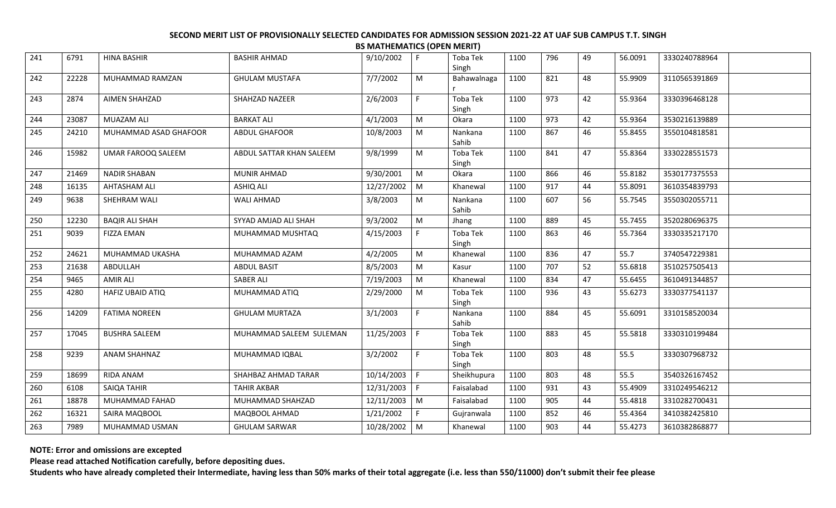| 241 | 6791  | <b>HINA BASHIR</b>    | <b>BASHIR AHMAD</b>      | 9/10/2002    | F            | Toba Tek<br>Singh | 1100 | 796 | 49 | 56.0091 | 3330240788964 |  |
|-----|-------|-----------------------|--------------------------|--------------|--------------|-------------------|------|-----|----|---------|---------------|--|
| 242 | 22228 | MUHAMMAD RAMZAN       | <b>GHULAM MUSTAFA</b>    | 7/7/2002     | M            | Bahawalnaga       | 1100 | 821 | 48 | 55.9909 | 3110565391869 |  |
| 243 | 2874  | <b>AIMEN SHAHZAD</b>  | SHAHZAD NAZEER           | 2/6/2003     | $\mathsf F$  | Toba Tek<br>Singh | 1100 | 973 | 42 | 55.9364 | 3330396468128 |  |
| 244 | 23087 | MUAZAM ALI            | <b>BARKAT ALI</b>        | 4/1/2003     | M            | Okara             | 1100 | 973 | 42 | 55.9364 | 3530216139889 |  |
| 245 | 24210 | MUHAMMAD ASAD GHAFOOR | <b>ABDUL GHAFOOR</b>     | 10/8/2003    | M            | Nankana<br>Sahib  | 1100 | 867 | 46 | 55.8455 | 3550104818581 |  |
| 246 | 15982 | UMAR FAROOQ SALEEM    | ABDUL SATTAR KHAN SALEEM | 9/8/1999     | ${\sf M}$    | Toba Tek<br>Singh | 1100 | 841 | 47 | 55.8364 | 3330228551573 |  |
| 247 | 21469 | <b>NADIR SHABAN</b>   | <b>MUNIR AHMAD</b>       | 9/30/2001    | M            | Okara             | 1100 | 866 | 46 | 55.8182 | 3530177375553 |  |
| 248 | 16135 | AHTASHAM ALI          | ASHIQ ALI                | 12/27/2002   | M            | Khanewal          | 1100 | 917 | 44 | 55.8091 | 3610354839793 |  |
| 249 | 9638  | SHEHRAM WALI          | WALI AHMAD               | 3/8/2003     | M            | Nankana<br>Sahib  | 1100 | 607 | 56 | 55.7545 | 3550302055711 |  |
| 250 | 12230 | <b>BAQIR ALI SHAH</b> | SYYAD AMJAD ALI SHAH     | 9/3/2002     | M            | Jhang             | 1100 | 889 | 45 | 55.7455 | 3520280696375 |  |
| 251 | 9039  | <b>FIZZA EMAN</b>     | MUHAMMAD MUSHTAQ         | 4/15/2003    | F.           | Toba Tek<br>Singh | 1100 | 863 | 46 | 55.7364 | 3330335217170 |  |
| 252 | 24621 | MUHAMMAD UKASHA       | MUHAMMAD AZAM            | 4/2/2005     | ${\sf M}$    | Khanewal          | 1100 | 836 | 47 | 55.7    | 3740547229381 |  |
| 253 | 21638 | ABDULLAH              | <b>ABDUL BASIT</b>       | 8/5/2003     | M            | Kasur             | 1100 | 707 | 52 | 55.6818 | 3510257505413 |  |
| 254 | 9465  | <b>AMIR ALI</b>       | <b>SABER ALI</b>         | 7/19/2003    | ${\sf M}$    | Khanewal          | 1100 | 834 | 47 | 55.6455 | 3610491344857 |  |
| 255 | 4280  | HAFIZ UBAID ATIQ      | MUHAMMAD ATIQ            | 2/29/2000    | M            | Toba Tek<br>Singh | 1100 | 936 | 43 | 55.6273 | 3330377541137 |  |
| 256 | 14209 | <b>FATIMA NOREEN</b>  | <b>GHULAM MURTAZA</b>    | 3/1/2003     | F            | Nankana<br>Sahib  | 1100 | 884 | 45 | 55.6091 | 3310158520034 |  |
| 257 | 17045 | <b>BUSHRA SALEEM</b>  | MUHAMMAD SALEEM SULEMAN  | 11/25/2003   | F            | Toba Tek<br>Singh | 1100 | 883 | 45 | 55.5818 | 3330310199484 |  |
| 258 | 9239  | <b>ANAM SHAHNAZ</b>   | MUHAMMAD IQBAL           | 3/2/2002     | E            | Toba Tek<br>Singh | 1100 | 803 | 48 | 55.5    | 3330307968732 |  |
| 259 | 18699 | RIDA ANAM             | SHAHBAZ AHMAD TARAR      | 10/14/2003 F |              | Sheikhupura       | 1100 | 803 | 48 | 55.5    | 3540326167452 |  |
| 260 | 6108  | SAIQA TAHIR           | <b>TAHIR AKBAR</b>       | 12/31/2003   | $\mathsf{F}$ | Faisalabad        | 1100 | 931 | 43 | 55.4909 | 3310249546212 |  |
| 261 | 18878 | MUHAMMAD FAHAD        | MUHAMMAD SHAHZAD         | 12/11/2003   | $\mid M$     | Faisalabad        | 1100 | 905 | 44 | 55.4818 | 3310282700431 |  |
| 262 | 16321 | SAIRA MAQBOOL         | MAQBOOL AHMAD            | 1/21/2002    | $\mathsf{F}$ | Gujranwala        | 1100 | 852 | 46 | 55.4364 | 3410382425810 |  |
| 263 | 7989  | MUHAMMAD USMAN        | <b>GHULAM SARWAR</b>     | 10/28/2002 M |              | Khanewal          | 1100 | 903 | 44 | 55.4273 | 3610382868877 |  |
|     |       |                       |                          |              |              |                   |      |     |    |         |               |  |

**NOTE: Error and omissions are excepted**

**Please read attached Notification carefully, before depositing dues.**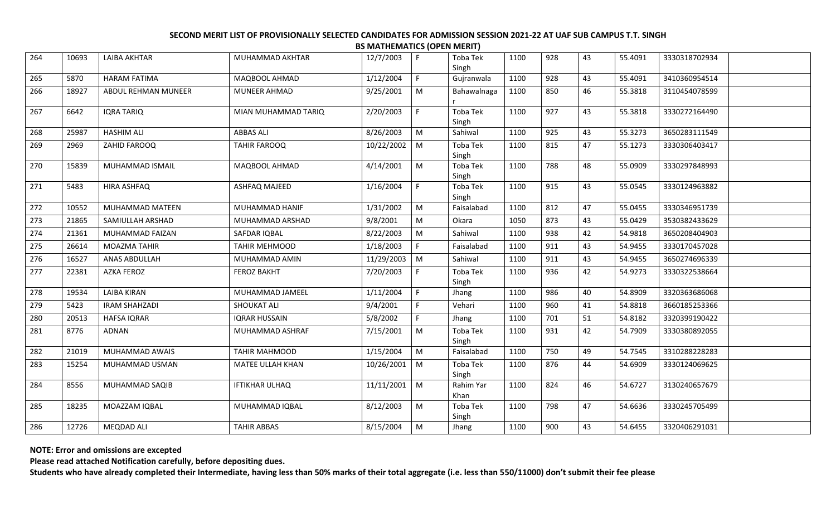| 264 | 10693 | <b>LAIBA AKHTAR</b>  | MUHAMMAD AKHTAR       | 12/7/2003    | F.          | Toba Tek<br>Singh | 1100 | 928 | 43 | 55.4091 | 3330318702934 |  |
|-----|-------|----------------------|-----------------------|--------------|-------------|-------------------|------|-----|----|---------|---------------|--|
| 265 | 5870  | <b>HARAM FATIMA</b>  | MAQBOOL AHMAD         | 1/12/2004    | $\mathsf F$ | Gujranwala        | 1100 | 928 | 43 | 55.4091 | 3410360954514 |  |
| 266 | 18927 | ABDUL REHMAN MUNEER  | MUNEER AHMAD          | 9/25/2001    | M           | Bahawalnaga       | 1100 | 850 | 46 | 55.3818 | 3110454078599 |  |
| 267 | 6642  | IQRA TARIQ           | MIAN MUHAMMAD TARIQ   | 2/20/2003    | F.          | Toba Tek<br>Singh | 1100 | 927 | 43 | 55.3818 | 3330272164490 |  |
| 268 | 25987 | <b>HASHIM ALI</b>    | <b>ABBAS ALI</b>      | 8/26/2003    | M           | Sahiwal           | 1100 | 925 | 43 | 55.3273 | 3650283111549 |  |
| 269 | 2969  | ZAHID FAROOQ         | <b>TAHIR FAROOQ</b>   | 10/22/2002 M |             | Toba Tek<br>Singh | 1100 | 815 | 47 | 55.1273 | 3330306403417 |  |
| 270 | 15839 | MUHAMMAD ISMAIL      | MAQBOOL AHMAD         | 4/14/2001    | M           | Toba Tek<br>Singh | 1100 | 788 | 48 | 55.0909 | 3330297848993 |  |
| 271 | 5483  | HIRA ASHFAQ          | ASHFAQ MAJEED         | 1/16/2004    | F           | Toba Tek<br>Singh | 1100 | 915 | 43 | 55.0545 | 3330124963882 |  |
| 272 | 10552 | MUHAMMAD MATEEN      | MUHAMMAD HANIF        | 1/31/2002    | ${\sf M}$   | Faisalabad        | 1100 | 812 | 47 | 55.0455 | 3330346951739 |  |
| 273 | 21865 | SAMIULLAH ARSHAD     | MUHAMMAD ARSHAD       | 9/8/2001     | M           | Okara             | 1050 | 873 | 43 | 55.0429 | 3530382433629 |  |
| 274 | 21361 | MUHAMMAD FAIZAN      | SAFDAR IQBAL          | 8/22/2003    | M           | Sahiwal           | 1100 | 938 | 42 | 54.9818 | 3650208404903 |  |
| 275 | 26614 | MOAZMA TAHIR         | TAHIR MEHMOOD         | 1/18/2003    | F.          | Faisalabad        | 1100 | 911 | 43 | 54.9455 | 3330170457028 |  |
| 276 | 16527 | ANAS ABDULLAH        | MUHAMMAD AMIN         | 11/29/2003   | M           | Sahiwal           | 1100 | 911 | 43 | 54.9455 | 3650274696339 |  |
| 277 | 22381 | AZKA FEROZ           | <b>FEROZ BAKHT</b>    | 7/20/2003    | F.          | Toba Tek<br>Singh | 1100 | 936 | 42 | 54.9273 | 3330322538664 |  |
| 278 | 19534 | LAIBA KIRAN          | MUHAMMAD JAMEEL       | 1/11/2004    | F           | Jhang             | 1100 | 986 | 40 | 54.8909 | 3320363686068 |  |
| 279 | 5423  | <b>IRAM SHAHZADI</b> | SHOUKAT ALI           | 9/4/2001     | F           | Vehari            | 1100 | 960 | 41 | 54.8818 | 3660185253366 |  |
| 280 | 20513 | <b>HAFSA IQRAR</b>   | <b>IQRAR HUSSAIN</b>  | 5/8/2002     | F.          | Jhang             | 1100 | 701 | 51 | 54.8182 | 3320399190422 |  |
| 281 | 8776  | ADNAN                | MUHAMMAD ASHRAF       | 7/15/2001    | M           | Toba Tek<br>Singh | 1100 | 931 | 42 | 54.7909 | 3330380892055 |  |
| 282 | 21019 | MUHAMMAD AWAIS       | TAHIR MAHMOOD         | 1/15/2004    | ${\sf M}$   | Faisalabad        | 1100 | 750 | 49 | 54.7545 | 3310288228283 |  |
| 283 | 15254 | MUHAMMAD USMAN       | MATEE ULLAH KHAN      | 10/26/2001   | M           | Toba Tek<br>Singh | 1100 | 876 | 44 | 54.6909 | 3330124069625 |  |
| 284 | 8556  | MUHAMMAD SAQIB       | <b>IFTIKHAR ULHAQ</b> | 11/11/2001   | M           | Rahim Yar<br>Khan | 1100 | 824 | 46 | 54.6727 | 3130240657679 |  |
| 285 | 18235 | MOAZZAM IQBAL        | MUHAMMAD IQBAL        | 8/12/2003    | M           | Toba Tek<br>Singh | 1100 | 798 | 47 | 54.6636 | 3330245705499 |  |
| 286 | 12726 | <b>MEQDAD ALI</b>    | <b>TAHIR ABBAS</b>    | 8/15/2004    | M           | Jhang             | 1100 | 900 | 43 | 54.6455 | 3320406291031 |  |

**NOTE: Error and omissions are excepted**

**Please read attached Notification carefully, before depositing dues.**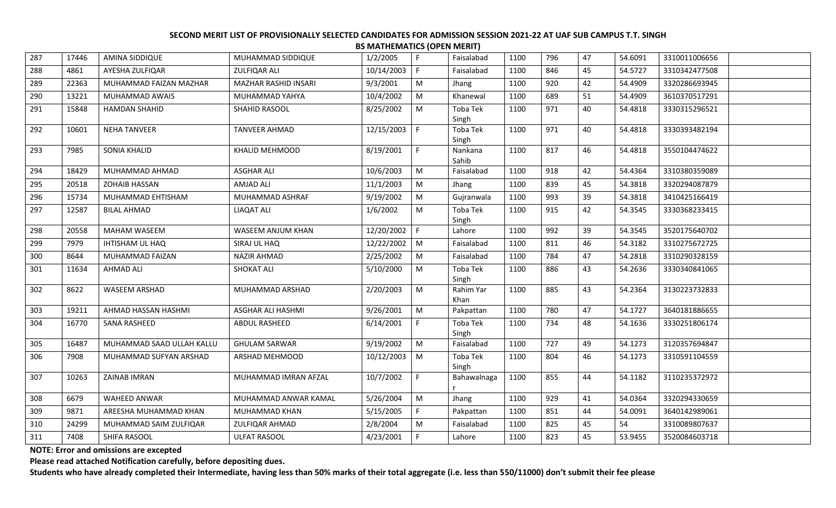| 287 | 17446 | AMINA SIDDIQUE            | MUHAMMAD SIDDIQUE        | 1/2/2005   | F.           | Faisalabad        | 1100 | 796 | 47 | 54.6091 | 3310011006656 |
|-----|-------|---------------------------|--------------------------|------------|--------------|-------------------|------|-----|----|---------|---------------|
| 288 | 4861  | AYESHA ZULFIQAR           | ZULFIQAR ALI             | 10/14/2003 | F            | Faisalabad        | 1100 | 846 | 45 | 54.5727 | 3310342477508 |
| 289 | 22363 | MUHAMMAD FAIZAN MAZHAR    | MAZHAR RASHID INSARI     | 9/3/2001   | M            | Jhang             | 1100 | 920 | 42 | 54.4909 | 3320286693945 |
| 290 | 13221 | MUHAMMAD AWAIS            | MUHAMMAD YAHYA           | 10/4/2002  | M            | Khanewal          | 1100 | 689 | 51 | 54.4909 | 3610370517291 |
| 291 | 15848 | <b>HAMDAN SHAHID</b>      | SHAHID RASOOL            | 8/25/2002  | M            | Toba Tek<br>Singh | 1100 | 971 | 40 | 54.4818 | 3330315296521 |
| 292 | 10601 | <b>NEHA TANVEER</b>       | <b>TANVEER AHMAD</b>     | 12/15/2003 | l F          | Toba Tek<br>Singh | 1100 | 971 | 40 | 54.4818 | 3330393482194 |
| 293 | 7985  | SONIA KHALID              | KHALID MEHMOOD           | 8/19/2001  | F.           | Nankana<br>Sahib  | 1100 | 817 | 46 | 54.4818 | 3550104474622 |
| 294 | 18429 | MUHAMMAD AHMAD            | <b>ASGHAR ALI</b>        | 10/6/2003  | M            | Faisalabad        | 1100 | 918 | 42 | 54.4364 | 3310380359089 |
| 295 | 20518 | <b>ZOHAIB HASSAN</b>      | <b>AMJAD ALI</b>         | 11/1/2003  | M            | Jhang             | 1100 | 839 | 45 | 54.3818 | 3320294087879 |
| 296 | 15734 | MUHAMMAD EHTISHAM         | MUHAMMAD ASHRAF          | 9/19/2002  | M            | Gujranwala        | 1100 | 993 | 39 | 54.3818 | 3410425166419 |
| 297 | 12587 | <b>BILAL AHMAD</b>        | LIAQAT ALI               | 1/6/2002   | M            | Toba Tek<br>Singh | 1100 | 915 | 42 | 54.3545 | 3330368233415 |
| 298 | 20558 | MAHAM WASEEM              | WASEEM ANJUM KHAN        | 12/20/2002 | $\mathsf{F}$ | Lahore            | 1100 | 992 | 39 | 54.3545 | 3520175640702 |
| 299 | 7979  | IHTISHAM UL HAQ           | SIRAJ UL HAQ             | 12/22/2002 | M            | Faisalabad        | 1100 | 811 | 46 | 54.3182 | 3310275672725 |
| 300 | 8644  | MUHAMMAD FAIZAN           | <b>NAZIR AHMAD</b>       | 2/25/2002  | M            | Faisalabad        | 1100 | 784 | 47 | 54.2818 | 3310290328159 |
| 301 | 11634 | <b>AHMAD ALI</b>          | <b>SHOKAT ALI</b>        | 5/10/2000  | M            | Toba Tek<br>Singh | 1100 | 886 | 43 | 54.2636 | 3330340841065 |
| 302 | 8622  | WASEEM ARSHAD             | MUHAMMAD ARSHAD          | 2/20/2003  | M            | Rahim Yar<br>Khan | 1100 | 885 | 43 | 54.2364 | 3130223732833 |
| 303 | 19211 | AHMAD HASSAN HASHMI       | <b>ASGHAR ALI HASHMI</b> | 9/26/2001  | M            | Pakpattan         | 1100 | 780 | 47 | 54.1727 | 3640181886655 |
| 304 | 16770 | <b>SANA RASHEED</b>       | ABDUL RASHEED            | 6/14/2001  | F            | Toba Tek<br>Singh | 1100 | 734 | 48 | 54.1636 | 3330251806174 |
| 305 | 16487 | MUHAMMAD SAAD ULLAH KALLU | <b>GHULAM SARWAR</b>     | 9/19/2002  | M            | Faisalabad        | 1100 | 727 | 49 | 54.1273 | 3120357694847 |
| 306 | 7908  | MUHAMMAD SUFYAN ARSHAD    | ARSHAD MEHMOOD           | 10/12/2003 | M            | Toba Tek<br>Singh | 1100 | 804 | 46 | 54.1273 | 3310591104559 |
| 307 | 10263 | ZAINAB IMRAN              | MUHAMMAD IMRAN AFZAL     | 10/7/2002  | F.           | Bahawalnaga       | 1100 | 855 | 44 | 54.1182 | 3110235372972 |
| 308 | 6679  | <b>WAHEED ANWAR</b>       | MUHAMMAD ANWAR KAMAL     | 5/26/2004  | M            | Jhang             | 1100 | 929 | 41 | 54.0364 | 3320294330659 |
| 309 | 9871  | AREESHA MUHAMMAD KHAN     | MUHAMMAD KHAN            | 5/15/2005  | F            | Pakpattan         | 1100 | 851 | 44 | 54.0091 | 3640142989061 |
| 310 | 24299 | MUHAMMAD SAIM ZULFIQAR    | ZULFIQAR AHMAD           | 2/8/2004   | M            | Faisalabad        | 1100 | 825 | 45 | 54      | 3310089807637 |
| 311 | 7408  | SHIFA RASOOL              | ULFAT RASOOL             | 4/23/2001  | F.           | Lahore            | 1100 | 823 | 45 | 53.9455 | 3520084603718 |

**NOTE: Error and omissions are excepted**

**Please read attached Notification carefully, before depositing dues.**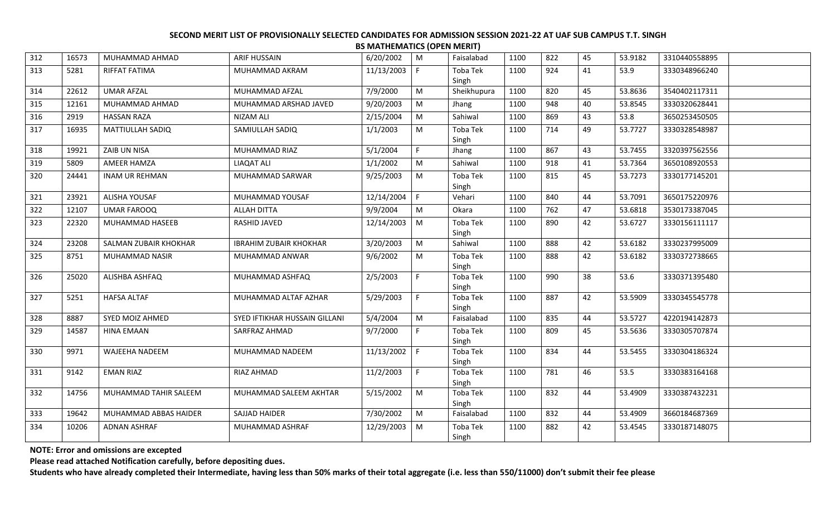| 312 | 16573 | MUHAMMAD AHMAD        | <b>ARIF HUSSAIN</b>           | 6/20/2002  | M  | Faisalabad               | 1100 | 822 | 45 | 53.9182 | 3310440558895 |  |
|-----|-------|-----------------------|-------------------------------|------------|----|--------------------------|------|-----|----|---------|---------------|--|
| 313 | 5281  | RIFFAT FATIMA         | MUHAMMAD AKRAM                | 11/13/2003 | -F | Toba Tek                 | 1100 | 924 | 41 | 53.9    | 3330348966240 |  |
| 314 | 22612 | <b>UMAR AFZAL</b>     | MUHAMMAD AFZAL                | 7/9/2000   | M  | Singh<br>Sheikhupura     | 1100 | 820 | 45 | 53.8636 | 3540402117311 |  |
| 315 | 12161 | MUHAMMAD AHMAD        | MUHAMMAD ARSHAD JAVED         | 9/20/2003  | M  | Jhang                    | 1100 | 948 | 40 | 53.8545 | 3330320628441 |  |
| 316 | 2919  | <b>HASSAN RAZA</b>    | NIZAM ALI                     | 2/15/2004  | M  | Sahiwal                  | 1100 | 869 | 43 | 53.8    | 3650253450505 |  |
| 317 | 16935 | MATTIULLAH SADIQ      | SAMIULLAH SADIQ               | 1/1/2003   | M  | Toba Tek                 | 1100 | 714 | 49 | 53.7727 | 3330328548987 |  |
|     |       |                       |                               |            |    | Singh                    |      |     |    |         |               |  |
| 318 | 19921 | ZAIB UN NISA          | MUHAMMAD RIAZ                 | 5/1/2004   | F. | Jhang                    | 1100 | 867 | 43 | 53.7455 | 3320397562556 |  |
| 319 | 5809  | AMEER HAMZA           | <b>LIAQAT ALI</b>             | 1/1/2002   | M  | Sahiwal                  | 1100 | 918 | 41 | 53.7364 | 3650108920553 |  |
| 320 | 24441 | <b>INAM UR REHMAN</b> | MUHAMMAD SARWAR               | 9/25/2003  | M  | Toba Tek<br>Singh        | 1100 | 815 | 45 | 53.7273 | 3330177145201 |  |
| 321 | 23921 | ALISHA YOUSAF         | MUHAMMAD YOUSAF               | 12/14/2004 | F  | Vehari                   | 1100 | 840 | 44 | 53.7091 | 3650175220976 |  |
| 322 | 12107 | <b>UMAR FAROOQ</b>    | <b>ALLAH DITTA</b>            | 9/9/2004   | M  | Okara                    | 1100 | 762 | 47 | 53.6818 | 3530173387045 |  |
| 323 | 22320 | MUHAMMAD HASEEB       | RASHID JAVED                  | 12/14/2003 | M  | Toba Tek<br>Singh        | 1100 | 890 | 42 | 53.6727 | 3330156111117 |  |
| 324 | 23208 | SALMAN ZUBAIR KHOKHAR | <b>IBRAHIM ZUBAIR KHOKHAR</b> | 3/20/2003  | M  | Sahiwal                  | 1100 | 888 | 42 | 53.6182 | 3330237995009 |  |
| 325 | 8751  | MUHAMMAD NASIR        | MUHAMMAD ANWAR                | 9/6/2002   | M  | Toba Tek<br>Singh        | 1100 | 888 | 42 | 53.6182 | 3330372738665 |  |
| 326 | 25020 | ALISHBA ASHFAQ        | MUHAMMAD ASHFAQ               | 2/5/2003   |    | Toba Tek<br>Singh        | 1100 | 990 | 38 | 53.6    | 3330371395480 |  |
| 327 | 5251  | <b>HAFSA ALTAF</b>    | MUHAMMAD ALTAF AZHAR          | 5/29/2003  | F. | Toba Tek<br>Singh        | 1100 | 887 | 42 | 53.5909 | 3330345545778 |  |
| 328 | 8887  | SYED MOIZ AHMED       | SYED IFTIKHAR HUSSAIN GILLANI | 5/4/2004   | M  | Faisalabad               | 1100 | 835 | 44 | 53.5727 | 4220194142873 |  |
| 329 | 14587 | HINA EMAAN            | SARFRAZ AHMAD                 | 9/7/2000   | F. | <b>Toba Tek</b><br>Singh | 1100 | 809 | 45 | 53.5636 | 3330305707874 |  |
| 330 | 9971  | WAJEEHA NADEEM        | MUHAMMAD NADEEM               | 11/13/2002 | F. | Toba Tek<br>Singh        | 1100 | 834 | 44 | 53.5455 | 3330304186324 |  |
| 331 | 9142  | <b>EMAN RIAZ</b>      | RIAZ AHMAD                    | 11/2/2003  | F. | Toba Tek<br>Singh        | 1100 | 781 | 46 | 53.5    | 3330383164168 |  |
| 332 | 14756 | MUHAMMAD TAHIR SALEEM | MUHAMMAD SALEEM AKHTAR        | 5/15/2002  | M  | Toba Tek<br>Singh        | 1100 | 832 | 44 | 53.4909 | 3330387432231 |  |
| 333 | 19642 | MUHAMMAD ABBAS HAIDER | SAJJAD HAIDER                 | 7/30/2002  | M  | Faisalabad               | 1100 | 832 | 44 | 53.4909 | 3660184687369 |  |
| 334 | 10206 | <b>ADNAN ASHRAF</b>   | MUHAMMAD ASHRAF               | 12/29/2003 | M  | Toba Tek<br>Singh        | 1100 | 882 | 42 | 53.4545 | 3330187148075 |  |
|     |       |                       |                               |            |    |                          |      |     |    |         |               |  |

**NOTE: Error and omissions are excepted**

**Please read attached Notification carefully, before depositing dues.**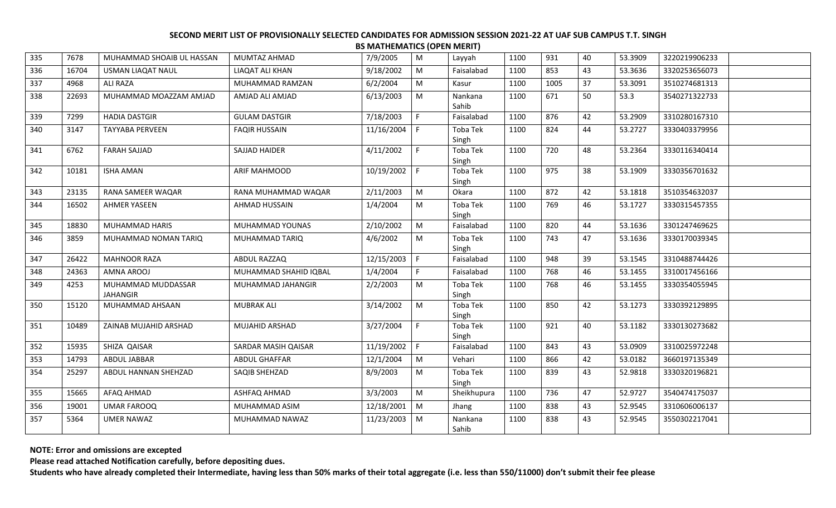|     |       |                                       |                       |            | . <del>.</del> |                          |      |      |    |         |               |  |
|-----|-------|---------------------------------------|-----------------------|------------|----------------|--------------------------|------|------|----|---------|---------------|--|
| 335 | 7678  | MUHAMMAD SHOAIB UL HASSAN             | MUMTAZ AHMAD          | 7/9/2005   | M              | Layyah                   | 1100 | 931  | 40 | 53.3909 | 3220219906233 |  |
| 336 | 16704 | USMAN LIAQAT NAUL                     | LIAQAT ALI KHAN       | 9/18/2002  | M              | Faisalabad               | 1100 | 853  | 43 | 53.3636 | 3320253656073 |  |
| 337 | 4968  | ALI RAZA                              | MUHAMMAD RAMZAN       | 6/2/2004   | M              | Kasur                    | 1100 | 1005 | 37 | 53.3091 | 3510274681313 |  |
| 338 | 22693 | MUHAMMAD MOAZZAM AMJAD                | AMJAD ALI AMJAD       | 6/13/2003  | M              | Nankana<br>Sahib         | 1100 | 671  | 50 | 53.3    | 3540271322733 |  |
| 339 | 7299  | <b>HADIA DASTGIR</b>                  | <b>GULAM DASTGIR</b>  | 7/18/2003  | F.             | Faisalabad               | 1100 | 876  | 42 | 53.2909 | 3310280167310 |  |
| 340 | 3147  | <b>TAYYABA PERVEEN</b>                | <b>FAQIR HUSSAIN</b>  | 11/16/2004 | F.             | <b>Toba Tek</b><br>Singh | 1100 | 824  | 44 | 53.2727 | 3330403379956 |  |
| 341 | 6762  | <b>FARAH SAJJAD</b>                   | SAJJAD HAIDER         | 4/11/2002  | F.             | Toba Tek<br>Singh        | 1100 | 720  | 48 | 53.2364 | 3330116340414 |  |
| 342 | 10181 | <b>ISHA AMAN</b>                      | ARIF MAHMOOD          | 10/19/2002 | F              | <b>Toba Tek</b><br>Singh | 1100 | 975  | 38 | 53.1909 | 3330356701632 |  |
| 343 | 23135 | RANA SAMEER WAQAR                     | RANA MUHAMMAD WAQAR   | 2/11/2003  | ${\sf M}$      | Okara                    | 1100 | 872  | 42 | 53.1818 | 3510354632037 |  |
| 344 | 16502 | <b>AHMER YASEEN</b>                   | AHMAD HUSSAIN         | 1/4/2004   | M              | Toba Tek<br>Singh        | 1100 | 769  | 46 | 53.1727 | 3330315457355 |  |
| 345 | 18830 | <b>MUHAMMAD HARIS</b>                 | MUHAMMAD YOUNAS       | 2/10/2002  | M              | Faisalabad               | 1100 | 820  | 44 | 53.1636 | 3301247469625 |  |
| 346 | 3859  | MUHAMMAD NOMAN TARIQ                  | MUHAMMAD TARIQ        | 4/6/2002   | M              | Toba Tek<br>Singh        | 1100 | 743  | 47 | 53.1636 | 3330170039345 |  |
| 347 | 26422 | <b>MAHNOOR RAZA</b>                   | ABDUL RAZZAQ          | 12/15/2003 | $\mathsf{F}$   | Faisalabad               | 1100 | 948  | 39 | 53.1545 | 3310488744426 |  |
| 348 | 24363 | AMNA AROOJ                            | MUHAMMAD SHAHID IQBAL | 1/4/2004   | F.             | Faisalabad               | 1100 | 768  | 46 | 53.1455 | 3310017456166 |  |
| 349 | 4253  | MUHAMMAD MUDDASSAR<br><b>JAHANGIR</b> | MUHAMMAD JAHANGIR     | 2/2/2003   | M              | <b>Toba Tek</b><br>Singh | 1100 | 768  | 46 | 53.1455 | 3330354055945 |  |
| 350 | 15120 | MUHAMMAD AHSAAN                       | <b>MUBRAK ALI</b>     | 3/14/2002  | M              | Toba Tek<br>Singh        | 1100 | 850  | 42 | 53.1273 | 3330392129895 |  |
| 351 | 10489 | ZAINAB MUJAHID ARSHAD                 | <b>MUJAHID ARSHAD</b> | 3/27/2004  | F.             | Toba Tek<br>Singh        | 1100 | 921  | 40 | 53.1182 | 3330130273682 |  |
| 352 | 15935 | SHIZA QAISAR                          | SARDAR MASIH QAISAR   | 11/19/2002 | F              | Faisalabad               | 1100 | 843  | 43 | 53.0909 | 3310025972248 |  |
| 353 | 14793 | <b>ABDUL JABBAR</b>                   | ABDUL GHAFFAR         | 12/1/2004  | M              | Vehari                   | 1100 | 866  | 42 | 53.0182 | 3660197135349 |  |
| 354 | 25297 | ABDUL HANNAN SHEHZAD                  | SAQIB SHEHZAD         | 8/9/2003   | M              | Toba Tek<br>Singh        | 1100 | 839  | 43 | 52.9818 | 3330320196821 |  |
| 355 | 15665 | AFAQ AHMAD                            | ASHFAQ AHMAD          | 3/3/2003   | M              | Sheikhupura              | 1100 | 736  | 47 | 52.9727 | 3540474175037 |  |
| 356 | 19001 | <b>UMAR FAROOQ</b>                    | MUHAMMAD ASIM         | 12/18/2001 | M              | Jhang                    | 1100 | 838  | 43 | 52.9545 | 3310606006137 |  |
| 357 | 5364  | <b>UMER NAWAZ</b>                     | MUHAMMAD NAWAZ        | 11/23/2003 | M              | Nankana<br>Sahib         | 1100 | 838  | 43 | 52.9545 | 3550302217041 |  |

**NOTE: Error and omissions are excepted**

**Please read attached Notification carefully, before depositing dues.**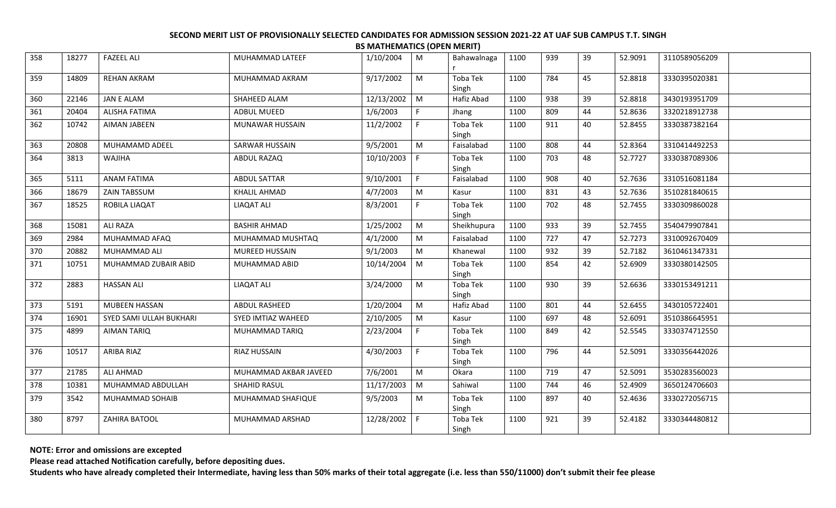| 358 | 18277 | <b>FAZEEL ALI</b>       | MUHAMMAD LATEEF       | 1/10/2004    | M         | Bahawalnaga       | 1100 | 939 | 39 | 52.9091 | 3110589056209 |  |
|-----|-------|-------------------------|-----------------------|--------------|-----------|-------------------|------|-----|----|---------|---------------|--|
| 359 | 14809 | <b>REHAN AKRAM</b>      | MUHAMMAD AKRAM        | 9/17/2002    | M         | Toba Tek<br>Singh | 1100 | 784 | 45 | 52.8818 | 3330395020381 |  |
| 360 | 22146 | <b>JAN E ALAM</b>       | SHAHEED ALAM          | 12/13/2002   | M         | Hafiz Abad        | 1100 | 938 | 39 | 52.8818 | 3430193951709 |  |
| 361 | 20404 | ALISHA FATIMA           | ADBUL MUEED           | 1/6/2003     | F.        | Jhang             | 1100 | 809 | 44 | 52.8636 | 3320218912738 |  |
| 362 | 10742 | <b>AIMAN JABEEN</b>     | MUNAWAR HUSSAIN       | 11/2/2002    | F         | Toba Tek<br>Singh | 1100 | 911 | 40 | 52.8455 | 3330387382164 |  |
| 363 | 20808 | MUHAMAMD ADEEL          | SARWAR HUSSAIN        | 9/5/2001     | ${\sf M}$ | Faisalabad        | 1100 | 808 | 44 | 52.8364 | 3310414492253 |  |
| 364 | 3813  | WAJIHA                  | ABDUL RAZAQ           | 10/10/2003   | F.        | Toba Tek<br>Singh | 1100 | 703 | 48 | 52.7727 | 3330387089306 |  |
| 365 | 5111  | <b>ANAM FATIMA</b>      | <b>ABDUL SATTAR</b>   | 9/10/2001    | F.        | Faisalabad        | 1100 | 908 | 40 | 52.7636 | 3310516081184 |  |
| 366 | 18679 | <b>ZAIN TABSSUM</b>     | <b>KHALIL AHMAD</b>   | 4/7/2003     | M         | Kasur             | 1100 | 831 | 43 | 52.7636 | 3510281840615 |  |
| 367 | 18525 | ROBILA LIAQAT           | LIAQAT ALI            | 8/3/2001     | F         | Toba Tek<br>Singh | 1100 | 702 | 48 | 52.7455 | 3330309860028 |  |
| 368 | 15081 | ALI RAZA                | <b>BASHIR AHMAD</b>   | 1/25/2002    | M         | Sheikhupura       | 1100 | 933 | 39 | 52.7455 | 3540479907841 |  |
| 369 | 2984  | MUHAMMAD AFAQ           | MUHAMMAD MUSHTAQ      | 4/1/2000     | M         | Faisalabad        | 1100 | 727 | 47 | 52.7273 | 3310092670409 |  |
| 370 | 20882 | MUHAMMAD ALI            | MUREED HUSSAIN        | 9/1/2003     | M         | Khanewal          | 1100 | 932 | 39 | 52.7182 | 3610461347331 |  |
| 371 | 10751 | MUHAMMAD ZUBAIR ABID    | MUHAMMAD ABID         | 10/14/2004   | $\mid M$  | Toba Tek<br>Singh | 1100 | 854 | 42 | 52.6909 | 3330380142505 |  |
| 372 | 2883  | <b>HASSAN ALI</b>       | <b>LIAQAT ALI</b>     | 3/24/2000    | M         | Toba Tek<br>Singh | 1100 | 930 | 39 | 52.6636 | 3330153491211 |  |
| 373 | 5191  | <b>MUBEEN HASSAN</b>    | ABDUL RASHEED         | 1/20/2004    | M         | Hafiz Abad        | 1100 | 801 | 44 | 52.6455 | 3430105722401 |  |
| 374 | 16901 | SYED SAMI ULLAH BUKHARI | SYED IMTIAZ WAHEED    | 2/10/2005    | M         | Kasur             | 1100 | 697 | 48 | 52.6091 | 3510386645951 |  |
| 375 | 4899  | AIMAN TARIQ             | MUHAMMAD TARIQ        | 2/23/2004    | F.        | Toba Tek<br>Singh | 1100 | 849 | 42 | 52.5545 | 3330374712550 |  |
| 376 | 10517 | ARIBA RIAZ              | <b>RIAZ HUSSAIN</b>   | 4/30/2003    | F         | Toba Tek<br>Singh | 1100 | 796 | 44 | 52.5091 | 3330356442026 |  |
| 377 | 21785 | ALI AHMAD               | MUHAMMAD AKBAR JAVEED | 7/6/2001     | M         | Okara             | 1100 | 719 | 47 | 52.5091 | 3530283560023 |  |
| 378 | 10381 | MUHAMMAD ABDULLAH       | SHAHID RASUL          | 11/17/2003   | $\mid M$  | Sahiwal           | 1100 | 744 | 46 | 52.4909 | 3650124706603 |  |
| 379 | 3542  | MUHAMMAD SOHAIB         | MUHAMMAD SHAFIQUE     | 9/5/2003     | M         | Toba Tek<br>Singh | 1100 | 897 | 40 | 52.4636 | 3330272056715 |  |
| 380 | 8797  | ZAHIRA BATOOL           | MUHAMMAD ARSHAD       | 12/28/2002 F |           | Toba Tek<br>Singh | 1100 | 921 | 39 | 52.4182 | 3330344480812 |  |

**NOTE: Error and omissions are excepted**

**Please read attached Notification carefully, before depositing dues.**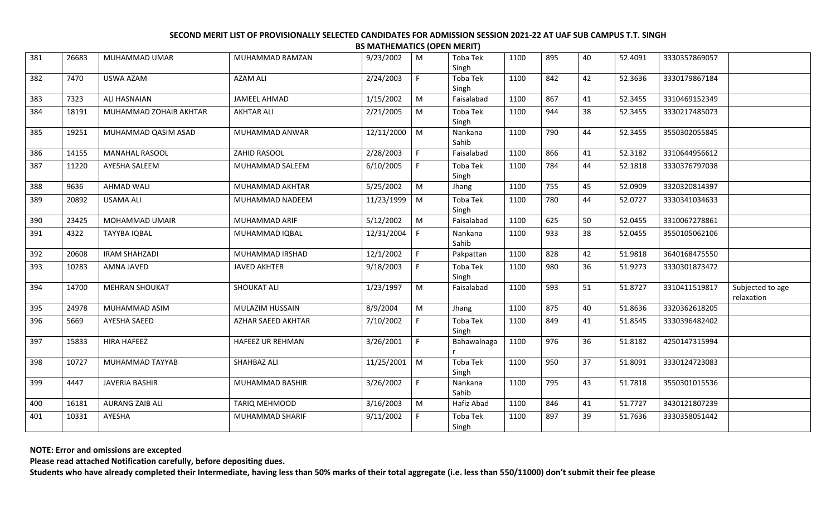| 381 | 26683 | MUHAMMAD UMAR          | MUHAMMAD RAMZAN         | 9/23/2002  | M           | Toba Tek<br>Singh | 1100 | 895 | 40 | 52.4091 | 3330357869057 |                                |
|-----|-------|------------------------|-------------------------|------------|-------------|-------------------|------|-----|----|---------|---------------|--------------------------------|
| 382 | 7470  | USWA AZAM              | <b>AZAM ALI</b>         | 2/24/2003  | F.          | Toba Tek<br>Singh | 1100 | 842 | 42 | 52.3636 | 3330179867184 |                                |
| 383 | 7323  | <b>ALI HASNAIAN</b>    | <b>JAMEEL AHMAD</b>     | 1/15/2002  | ${\sf M}$   | Faisalabad        | 1100 | 867 | 41 | 52.3455 | 3310469152349 |                                |
| 384 | 18191 | MUHAMMAD ZOHAIB AKHTAR | <b>AKHTAR ALI</b>       | 2/21/2005  | M           | Toba Tek<br>Singh | 1100 | 944 | 38 | 52.3455 | 3330217485073 |                                |
| 385 | 19251 | MUHAMMAD QASIM ASAD    | MUHAMMAD ANWAR          | 12/11/2000 | $\mid M$    | Nankana<br>Sahib  | 1100 | 790 | 44 | 52.3455 | 3550302055845 |                                |
| 386 | 14155 | <b>MANAHAL RASOOL</b>  | ZAHID RASOOL            | 2/28/2003  | F           | Faisalabad        | 1100 | 866 | 41 | 52.3182 | 3310644956612 |                                |
| 387 | 11220 | AYESHA SALEEM          | MUHAMMAD SALEEM         | 6/10/2005  | F           | Toba Tek<br>Singh | 1100 | 784 | 44 | 52.1818 | 3330376797038 |                                |
| 388 | 9636  | <b>AHMAD WALI</b>      | MUHAMMAD AKHTAR         | 5/25/2002  | ${\sf M}$   | Jhang             | 1100 | 755 | 45 | 52.0909 | 3320320814397 |                                |
| 389 | 20892 | <b>USAMA ALI</b>       | MUHAMMAD NADEEM         | 11/23/1999 | M           | Toba Tek<br>Singh | 1100 | 780 | 44 | 52.0727 | 3330341034633 |                                |
| 390 | 23425 | MOHAMMAD UMAIR         | MUHAMMAD ARIF           | 5/12/2002  | ${\sf M}$   | Faisalabad        | 1100 | 625 | 50 | 52.0455 | 3310067278861 |                                |
| 391 | 4322  | TAYYBA IQBAL           | MUHAMMAD IQBAL          | 12/31/2004 | l F.        | Nankana<br>Sahib  | 1100 | 933 | 38 | 52.0455 | 3550105062106 |                                |
| 392 | 20608 | <b>IRAM SHAHZADI</b>   | MUHAMMAD IRSHAD         | 12/1/2002  | F.          | Pakpattan         | 1100 | 828 | 42 | 51.9818 | 3640168475550 |                                |
| 393 | 10283 | <b>AMNA JAVED</b>      | <b>JAVED AKHTER</b>     | 9/18/2003  | F.          | Toba Tek<br>Singh | 1100 | 980 | 36 | 51.9273 | 3330301873472 |                                |
| 394 | 14700 | <b>MEHRAN SHOUKAT</b>  | <b>SHOUKAT ALI</b>      | 1/23/1997  | M           | Faisalabad        | 1100 | 593 | 51 | 51.8727 | 3310411519817 | Subjected to age<br>relaxation |
| 395 | 24978 | MUHAMMAD ASIM          | MULAZIM HUSSAIN         | 8/9/2004   | ${\sf M}$   | Jhang             | 1100 | 875 | 40 | 51.8636 | 3320362618205 |                                |
| 396 | 5669  | AYESHA SAEED           | AZHAR SAEED AKHTAR      | 7/10/2002  | F           | Toba Tek<br>Singh | 1100 | 849 | 41 | 51.8545 | 3330396482402 |                                |
| 397 | 15833 | <b>HIRA HAFEEZ</b>     | <b>HAFEEZ UR REHMAN</b> | 3/26/2001  | F.          | Bahawalnaga       | 1100 | 976 | 36 | 51.8182 | 4250147315994 |                                |
| 398 | 10727 | MUHAMMAD TAYYAB        | SHAHBAZ ALI             | 11/25/2001 | M           | Toba Tek<br>Singh | 1100 | 950 | 37 | 51.8091 | 3330124723083 |                                |
| 399 | 4447  | JAVERIA BASHIR         | MUHAMMAD BASHIR         | 3/26/2002  | $\mathsf F$ | Nankana<br>Sahib  | 1100 | 795 | 43 | 51.7818 | 3550301015536 |                                |
| 400 | 16181 | <b>AURANG ZAIB ALI</b> | TARIQ MEHMOOD           | 3/16/2003  | M           | Hafiz Abad        | 1100 | 846 | 41 | 51.7727 | 3430121807239 |                                |
| 401 | 10331 | AYESHA                 | MUHAMMAD SHARIF         | 9/11/2002  | F.          | Toba Tek<br>Singh | 1100 | 897 | 39 | 51.7636 | 3330358051442 |                                |

**NOTE: Error and omissions are excepted**

**Please read attached Notification carefully, before depositing dues.**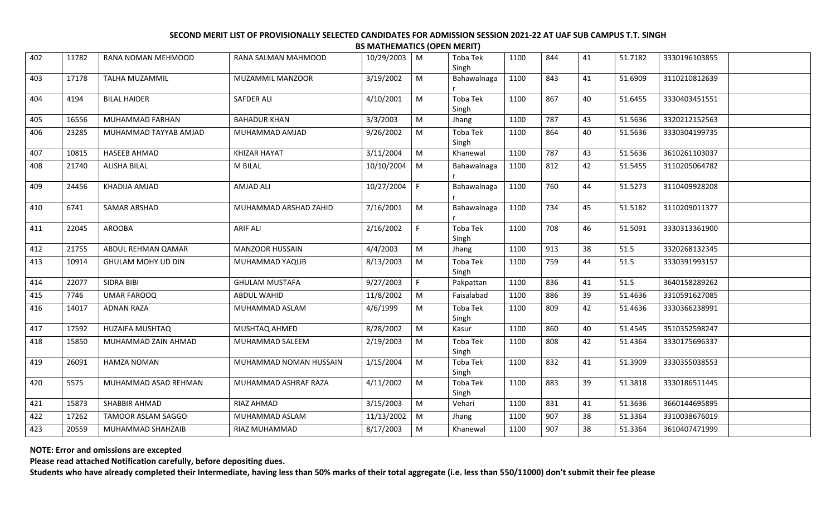| 402 | 11782 | RANA NOMAN MEHMOOD     | RANA SALMAN MAHMOOD    | 10/29/2003 | M              | Toba Tek<br>Singh        | 1100 | 844 | 41 | 51.7182 | 3330196103855 |  |
|-----|-------|------------------------|------------------------|------------|----------------|--------------------------|------|-----|----|---------|---------------|--|
| 403 | 17178 | TALHA MUZAMMIL         | MUZAMMIL MANZOOR       | 3/19/2002  | M              | Bahawalnaga              | 1100 | 843 | 41 | 51.6909 | 3110210812639 |  |
| 404 | 4194  | <b>BILAL HAIDER</b>    | <b>SAFDER ALI</b>      | 4/10/2001  | M              | Toba Tek<br>Singh        | 1100 | 867 | 40 | 51.6455 | 3330403451551 |  |
| 405 | 16556 | MUHAMMAD FARHAN        | <b>BAHADUR KHAN</b>    | 3/3/2003   | ${\sf M}$      | Jhang                    | 1100 | 787 | 43 | 51.5636 | 3320212152563 |  |
| 406 | 23285 | MUHAMMAD TAYYAB AMJAD  | MUHAMMAD AMJAD         | 9/26/2002  | M              | Toba Tek<br>Singh        | 1100 | 864 | 40 | 51.5636 | 3330304199735 |  |
| 407 | 10815 | <b>HASEEB AHMAD</b>    | <b>KHIZAR HAYAT</b>    | 3/11/2004  | M              | Khanewal                 | 1100 | 787 | 43 | 51.5636 | 3610261103037 |  |
| 408 | 21740 | <b>ALISHA BILAL</b>    | M BILAL                | 10/10/2004 | $\mid M$       | Bahawalnaga              | 1100 | 812 | 42 | 51.5455 | 3110205064782 |  |
| 409 | 24456 | KHADIJA AMJAD          | <b>AMJAD ALI</b>       | 10/27/2004 | F              | Bahawalnaga              | 1100 | 760 | 44 | 51.5273 | 3110409928208 |  |
| 410 | 6741  | SAMAR ARSHAD           | MUHAMMAD ARSHAD ZAHID  | 7/16/2001  | M              | Bahawalnaga              | 1100 | 734 | 45 | 51.5182 | 3110209011377 |  |
| 411 | 22045 | <b>AROOBA</b>          | <b>ARIF ALI</b>        | 2/16/2002  | F              | <b>Toba Tek</b><br>Singh | 1100 | 708 | 46 | 51.5091 | 3330313361900 |  |
| 412 | 21755 | ABDUL REHMAN QAMAR     | <b>MANZOOR HUSSAIN</b> | 4/4/2003   | M              | Jhang                    | 1100 | 913 | 38 | 51.5    | 3320268132345 |  |
| 413 | 10914 | GHULAM MOHY UD DIN     | MUHAMMAD YAQUB         | 8/13/2003  | M              | Toba Tek<br>Singh        | 1100 | 759 | 44 | 51.5    | 3330391993157 |  |
| 414 | 22077 | SIDRA BIBI             | <b>GHULAM MUSTAFA</b>  | 9/27/2003  | F              | Pakpattan                | 1100 | 836 | 41 | 51.5    | 3640158289262 |  |
| 415 | 7746  | <b>UMAR FAROOQ</b>     | ABDUL WAHID            | 11/8/2002  | M              | Faisalabad               | 1100 | 886 | 39 | 51.4636 | 3310591627085 |  |
| 416 | 14017 | <b>ADNAN RAZA</b>      | MUHAMMAD ASLAM         | 4/6/1999   | M              | Toba Tek<br>Singh        | 1100 | 809 | 42 | 51.4636 | 3330366238991 |  |
| 417 | 17592 | <b>HUZAIFA MUSHTAQ</b> | MUSHTAQ AHMED          | 8/28/2002  | M              | Kasur                    | 1100 | 860 | 40 | 51.4545 | 3510352598247 |  |
| 418 | 15850 | MUHAMMAD ZAIN AHMAD    | MUHAMMAD SALEEM        | 2/19/2003  | M              | Toba Tek<br>Singh        | 1100 | 808 | 42 | 51.4364 | 3330175696337 |  |
| 419 | 26091 | <b>HAMZA NOMAN</b>     | MUHAMMAD NOMAN HUSSAIN | 1/15/2004  | M              | Toba Tek<br>Singh        | 1100 | 832 | 41 | 51.3909 | 3330355038553 |  |
| 420 | 5575  | MUHAMMAD ASAD REHMAN   | MUHAMMAD ASHRAF RAZA   | 4/11/2002  | M              | Toba Tek<br>Singh        | 1100 | 883 | 39 | 51.3818 | 3330186511445 |  |
| 421 | 15873 | SHABBIR AHMAD          | RIAZ AHMAD             | 3/15/2003  | M              | Vehari                   | 1100 | 831 | 41 | 51.3636 | 3660144695895 |  |
| 422 | 17262 | TAMOOR ASLAM SAGGO     | MUHAMMAD ASLAM         | 11/13/2002 | $\blacksquare$ | Jhang                    | 1100 | 907 | 38 | 51.3364 | 3310038676019 |  |
| 423 | 20559 | MUHAMMAD SHAHZAIB      | RIAZ MUHAMMAD          | 8/17/2003  | M              | Khanewal                 | 1100 | 907 | 38 | 51.3364 | 3610407471999 |  |
|     |       |                        |                        |            |                |                          |      |     |    |         |               |  |

**NOTE: Error and omissions are excepted**

**Please read attached Notification carefully, before depositing dues.**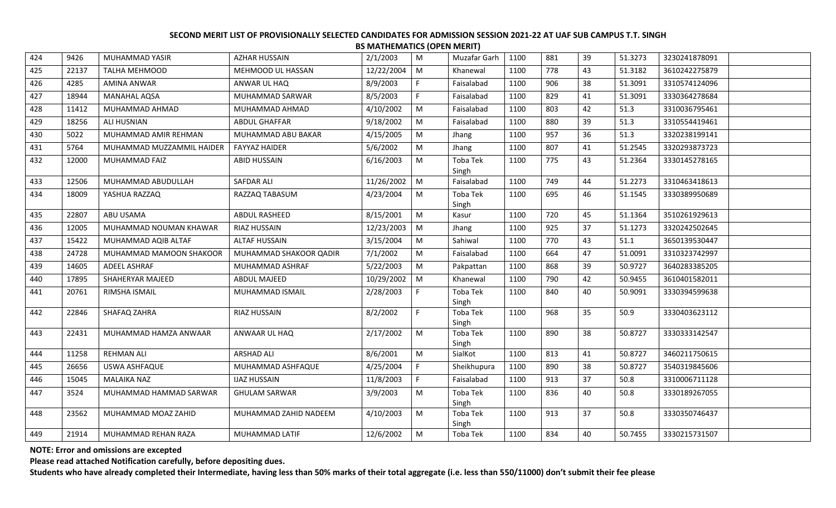|     |       |                           |                        |            | .  |                   |      |     |    |         |               |
|-----|-------|---------------------------|------------------------|------------|----|-------------------|------|-----|----|---------|---------------|
| 424 | 9426  | MUHAMMAD YASIR            | <b>AZHAR HUSSAIN</b>   | 2/1/2003   | M  | Muzafar Garh      | 1100 | 881 | 39 | 51.3273 | 3230241878091 |
| 425 | 22137 | <b>TALHA MEHMOOD</b>      | MEHMOOD UL HASSAN      | 12/22/2004 | M  | Khanewal          | 1100 | 778 | 43 | 51.3182 | 3610242275879 |
| 426 | 4285  | AMINA ANWAR               | ANWAR UL HAQ           | 8/9/2003   | F. | Faisalabad        | 1100 | 906 | 38 | 51.3091 | 3310574124096 |
| 427 | 18944 | MANAHAL AQSA              | MUHAMMAD SARWAR        | 8/5/2003   | F. | Faisalabad        | 1100 | 829 | 41 | 51.3091 | 3330364278684 |
| 428 | 11412 | MUHAMMAD AHMAD            | MUHAMMAD AHMAD         | 4/10/2002  | M  | Faisalabad        | 1100 | 803 | 42 | 51.3    | 3310036795461 |
| 429 | 18256 | ALI HUSNIAN               | ABDUL GHAFFAR          | 9/18/2002  | M  | Faisalabad        | 1100 | 880 | 39 | 51.3    | 3310554419461 |
| 430 | 5022  | MUHAMMAD AMIR REHMAN      | MUHAMMAD ABU BAKAR     | 4/15/2005  | M  | Jhang             | 1100 | 957 | 36 | 51.3    | 3320238199141 |
| 431 | 5764  | MUHAMMAD MUZZAMMIL HAIDER | <b>FAYYAZ HAIDER</b>   | 5/6/2002   | M  | Jhang             | 1100 | 807 | 41 | 51.2545 | 3320293873723 |
| 432 | 12000 | MUHAMMAD FAIZ             | ABID HUSSAIN           | 6/16/2003  | M  | Toba Tek          | 1100 | 775 | 43 | 51.2364 | 3330145278165 |
|     |       |                           |                        |            |    | Singh             |      |     |    |         |               |
| 433 | 12506 | MUHAMMAD ABUDULLAH        | SAFDAR ALI             | 11/26/2002 | M  | Faisalabad        | 1100 | 749 | 44 | 51.2273 | 3310463418613 |
| 434 | 18009 | YASHUA RAZZAQ             | RAZZAQ TABASUM         | 4/23/2004  | M  | Toba Tek          | 1100 | 695 | 46 | 51.1545 | 3330389950689 |
| 435 | 22807 | ABU USAMA                 | ABDUL RASHEED          | 8/15/2001  | M  | Singh<br>Kasur    | 1100 | 720 | 45 | 51.1364 | 3510261929613 |
|     |       |                           |                        |            |    |                   |      |     |    |         |               |
| 436 | 12005 | MUHAMMAD NOUMAN KHAWAR    | RIAZ HUSSAIN           | 12/23/2003 | M  | Jhang             | 1100 | 925 | 37 | 51.1273 | 3320242502645 |
| 437 | 15422 | MUHAMMAD AQIB ALTAF       | <b>ALTAF HUSSAIN</b>   | 3/15/2004  | M  | Sahiwal           | 1100 | 770 | 43 | 51.1    | 3650139530447 |
| 438 | 24728 | MUHAMMAD MAMOON SHAKOOR   | MUHAMMAD SHAKOOR QADIR | 7/1/2002   | M  | Faisalabad        | 1100 | 664 | 47 | 51.0091 | 3310323742997 |
| 439 | 14605 | ADEEL ASHRAF              | MUHAMMAD ASHRAF        | 5/22/2003  | M  | Pakpattan         | 1100 | 868 | 39 | 50.9727 | 3640283385205 |
| 440 | 17895 | SHAHERYAR MAJEED          | ABDUL MAJEED           | 10/29/2002 | M  | Khanewal          | 1100 | 790 | 42 | 50.9455 | 3610401582011 |
| 441 | 20761 | RIMSHA ISMAIL             | MUHAMMAD ISMAIL        | 2/28/2003  | F. | Toba Tek          | 1100 | 840 | 40 | 50.9091 | 3330394599638 |
|     |       |                           |                        |            |    | Singh             |      |     |    |         |               |
| 442 | 22846 | SHAFAQ ZAHRA              | RIAZ HUSSAIN           | 8/2/2002   | F. | Toba Tek<br>Singh | 1100 | 968 | 35 | 50.9    | 3330403623112 |
| 443 | 22431 | MUHAMMAD HAMZA ANWAAR     | ANWAAR UL HAQ          | 2/17/2002  | M  | Toba Tek          | 1100 | 890 | 38 | 50.8727 | 3330333142547 |
|     |       |                           |                        |            |    | Singh             |      |     |    |         |               |
| 444 | 11258 | <b>REHMAN ALI</b>         | <b>ARSHAD ALI</b>      | 8/6/2001   | M  | SialKot           | 1100 | 813 | 41 | 50.8727 | 3460211750615 |
| 445 | 26656 | USWA ASHFAQUE             | MUHAMMAD ASHFAQUE      | 4/25/2004  | F. | Sheikhupura       | 1100 | 890 | 38 | 50.8727 | 3540319845606 |
| 446 | 15045 | <b>MALAIKA NAZ</b>        | <b>IJAZ HUSSAIN</b>    | 11/8/2003  | F. | Faisalabad        | 1100 | 913 | 37 | 50.8    | 3310006711128 |
| 447 | 3524  | MUHAMMAD HAMMAD SARWAR    | <b>GHULAM SARWAR</b>   | 3/9/2003   | M  | Toba Tek          | 1100 | 836 | 40 | 50.8    | 3330189267055 |
|     |       |                           |                        |            |    | Singh             |      |     |    |         |               |
| 448 | 23562 | MUHAMMAD MOAZ ZAHID       | MUHAMMAD ZAHID NADEEM  | 4/10/2003  | M  | Toba Tek          | 1100 | 913 | 37 | 50.8    | 3330350746437 |
|     |       |                           |                        |            |    | Singh             |      |     |    |         |               |
| 449 | 21914 | MUHAMMAD REHAN RAZA       | MUHAMMAD LATIF         | 12/6/2002  | M  | Toba Tek          | 1100 | 834 | 40 | 50.7455 | 3330215731507 |

**NOTE: Error and omissions are excepted**

**Please read attached Notification carefully, before depositing dues.**